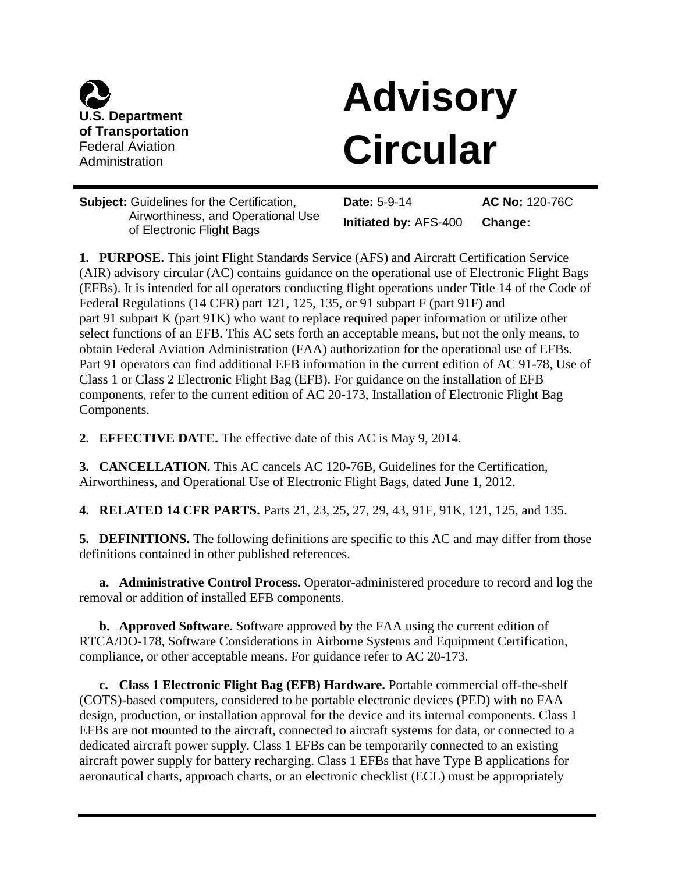

# **Advisory** of Transportation<br>Federal Aviation<br>Administration

**Subject: Guidelines for the Certification,** Airworthiness, and Operational Use of Electronic Flight Bags

Date: 5-9-14 Initiated by: AFS-400 AC No: 120-76C Change:

 (AIR) advisory circular (AC) contains guidance on the operational use of Electronic Flight Bags Federal Regulations (14 CFR) part 121, 125, 135, or 91 subpart F (part 91F) and part 91 subpart K (part 91K) who want to replace required paper information or utilize other select functions of an EFB. This AC sets forth an acceptable means, but not the only means, to Class 1 or Class 2 Electronic Flight Bag (EFB). For guidance on the installation of EFB components, refer to the current edition of AC 20-173, Installation of Electronic Flight Bag **1. PURPOSE.** This joint Flight Standards Service (AFS) and Aircraft Certification Service (EFBs). It is intended for all operators conducting flight operations under Title 14 of the Code of obtain Federal Aviation Administration (FAA) authorization for the operational use of EFBs. Part 91 operators can find additional EFB information in the current edition of AC 91-78, Use of Components.

**2. EFFECTIVE DATE.** The effective date of this AC is May 9, 2014.

 Airworthiness, and Operational Use of Electronic Flight Bags, dated June 1, 2012. **3. CANCELLATION.** This AC cancels AC 120-76B, Guidelines for the Certification,

**4. RELATED 14 CFR PARTS.** Parts 21, 23, 25, 27, 29, 43, 91F, 91K, 121, 125, and 135.

**5. DEFINITIONS.** The following definitions are specific to this AC and may differ from those definitions contained in other published references.

**a. Administrative Control Process.** Operator-administered procedure to record and log the removal or addition of installed EFB components.

 **b. Approved Software.** Software approved by the FAA using the current edition of RTCA/DO-178, Software Considerations in Airborne Systems and Equipment Certification, compliance, or other acceptable means. For guidance refer to AC 20-173.

 aircraft power supply for battery recharging. Class 1 EFBs that have Type B applications for **c. Class 1 Electronic Flight Bag (EFB) Hardware.** Portable commercial off-the-shelf (COTS)-based computers, considered to be portable electronic devices (PED) with no FAA design, production, or installation approval for the device and its internal components. Class 1 EFBs are not mounted to the aircraft, connected to aircraft systems for data, or connected to a dedicated aircraft power supply. Class 1 EFBs can be temporarily connected to an existing aeronautical charts, approach charts, or an electronic checklist (ECL) must be appropriately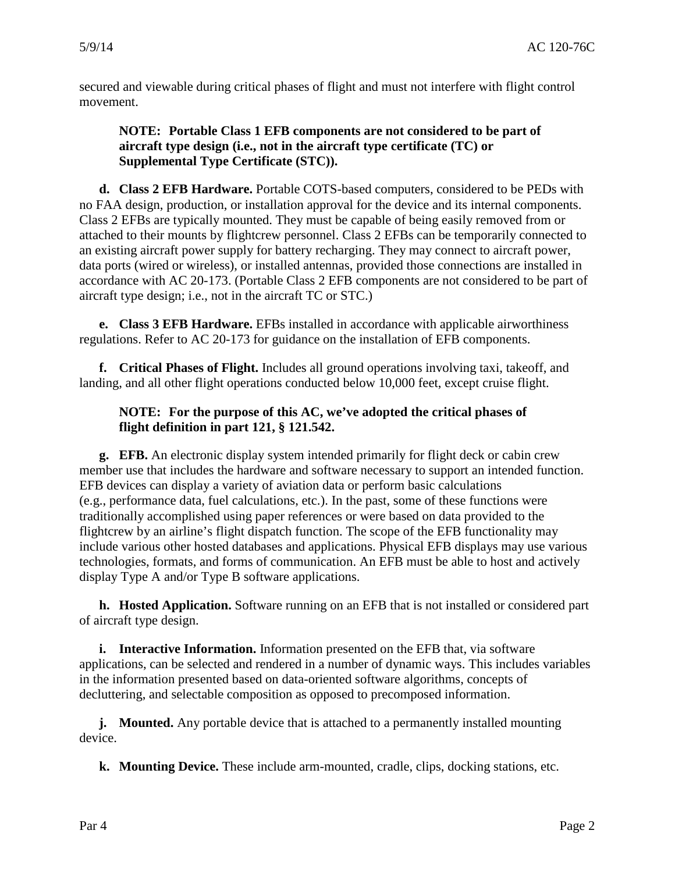secured and viewable during critical phases of flight and must not interfere with flight control movement.

# **NOTE: Portable Class 1 EFB components are not considered to be part of aircraft type design (i.e., not in the aircraft type certificate (TC) or Supplemental Type Certificate (STC)).**

 accordance with AC 20-173. (Portable Class 2 EFB components are not considered to be part of aircraft type design; i.e., not in the aircraft TC or STC.) **d. Class 2 EFB Hardware.** Portable COTS-based computers, considered to be PEDs with no FAA design, production, or installation approval for the device and its internal components. Class 2 EFBs are typically mounted. They must be capable of being easily removed from or attached to their mounts by flightcrew personnel. Class 2 EFBs can be temporarily connected to an existing aircraft power supply for battery recharging. They may connect to aircraft power, data ports (wired or wireless), or installed antennas, provided those connections are installed in

 regulations. Refer to AC 20-173 for guidance on the installation of EFB components. **e. Class 3 EFB Hardware.** EFBs installed in accordance with applicable airworthiness

 **f. Critical Phases of Flight.** Includes all ground operations involving taxi, takeoff, and landing, and all other flight operations conducted below 10,000 feet, except cruise flight.

# **flight definition in part 121, § 121.542. NOTE: For the purpose of this AC, we've adopted the critical phases of**

 EFB devices can display a variety of aviation data or perform basic calculations (e.g., performance data, fuel calculations, etc.). In the past, some of these functions were include various other hosted databases and applications. Physical EFB displays may use various **g. EFB.** An electronic display system intended primarily for flight deck or cabin crew member use that includes the hardware and software necessary to support an intended function. traditionally accomplished using paper references or were based on data provided to the flightcrew by an airline's flight dispatch function. The scope of the EFB functionality may technologies, formats, and forms of communication. An EFB must be able to host and actively display Type A and/or Type B software applications.

**h. Hosted Application.** Software running on an EFB that is not installed or considered part of aircraft type design.

**i. Interactive Information.** Information presented on the EFB that, via software applications, can be selected and rendered in a number of dynamic ways. This includes variables in the information presented based on data-oriented software algorithms, concepts of decluttering, and selectable composition as opposed to precomposed information.

 **j. Mounted.** Any portable device that is attached to a permanently installed mounting device.

**k. Mounting Device.** These include arm-mounted, cradle, clips, docking stations, etc.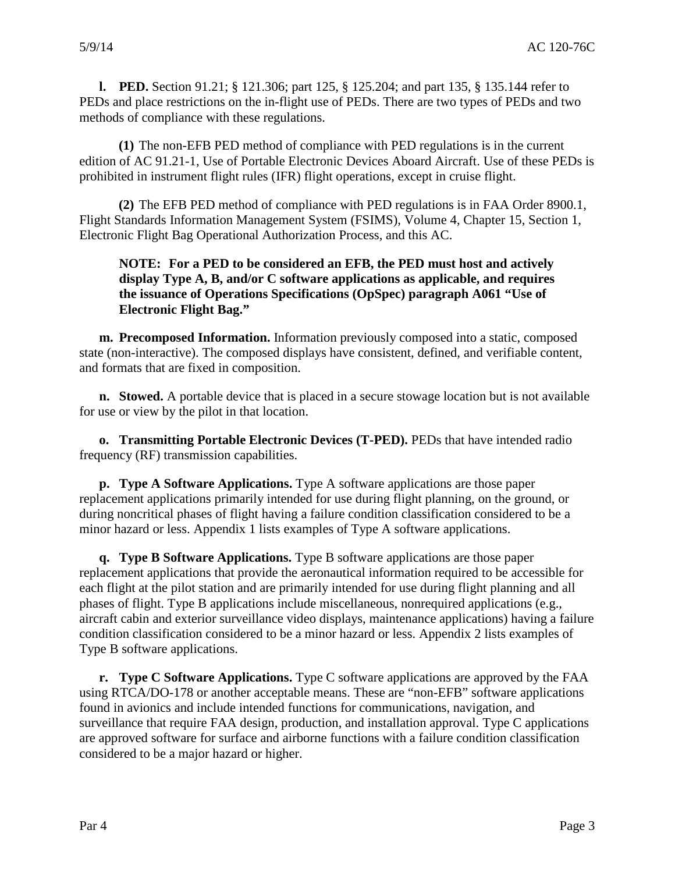**l. PED.** Section 91.21; § 121.306; part 125, § 125.204; and part 135, § 135.144 refer to PEDs and place restrictions on the in-flight use of PEDs. There are two types of PEDs and two methods of compliance with these regulations.

**(1)** The non-EFB PED method of compliance with PED regulations is in the current edition of AC 91.21-1, Use of Portable Electronic Devices Aboard Aircraft. Use of these PEDs is prohibited in instrument flight rules (IFR) flight operations, except in cruise flight.

 Electronic Flight Bag Operational Authorization Process, and this AC. **(2)** The EFB PED method of compliance with PED regulations is in FAA Order 8900.1, Flight Standards Information Management System (FSIMS), Volume 4, Chapter 15, Section 1,

#### **NOTE: For a PED to be considered an EFB, the PED must host and actively the issuance of Operations Specifications (OpSpec) paragraph A061 "Use of display Type A, B, and/or C software applications as applicable, and requires Electronic Flight Bag."**

**m. Precomposed Information.** Information previously composed into a static, composed state (non-interactive). The composed displays have consistent, defined, and verifiable content, and formats that are fixed in composition.

**n. Stowed.** A portable device that is placed in a secure stowage location but is not available for use or view by the pilot in that location.

**o. Transmitting Portable Electronic Devices (T-PED).** PEDs that have intended radio frequency (RF) transmission capabilities.

 during noncritical phases of flight having a failure condition classification considered to be a minor hazard or less. Appendix 1 lists examples of Type A software applications. **p. Type A Software Applications.** Type A software applications are those paper replacement applications primarily intended for use during flight planning, on the ground, or

 phases of flight. Type B applications include miscellaneous, nonrequired applications (e.g., aircraft cabin and exterior surveillance video displays, maintenance applications) having a failure **q. Type B Software Applications.** Type B software applications are those paper replacement applications that provide the aeronautical information required to be accessible for each flight at the pilot station and are primarily intended for use during flight planning and all condition classification considered to be a minor hazard or less. Appendix 2 lists examples of Type B software applications.

 **r. Type C Software Applications.** Type C software applications are approved by the FAA surveillance that require FAA design, production, and installation approval. Type C applications considered to be a major hazard or higher. using RTCA/DO-178 or another acceptable means. These are "non-EFB" software applications found in avionics and include intended functions for communications, navigation, and are approved software for surface and airborne functions with a failure condition classification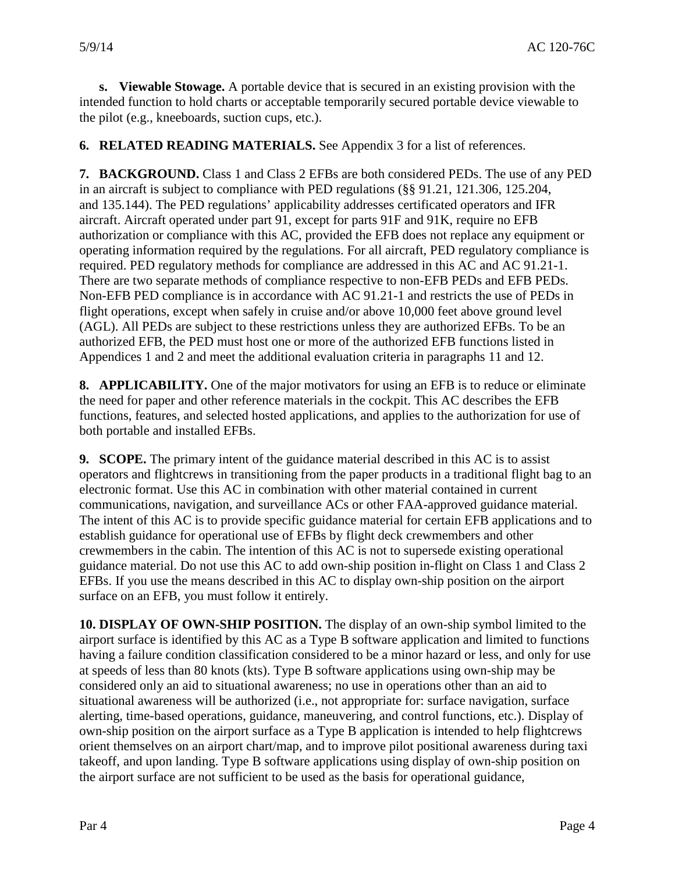the pilot (e.g., kneeboards, suction cups, etc.). **s. Viewable Stowage.** A portable device that is secured in an existing provision with the intended function to hold charts or acceptable temporarily secured portable device viewable to

**6. RELATED READING MATERIALS.** See Appendix 3 for a list of references.

 and 135.144). The PED regulations' applicability addresses certificated operators and IFR aircraft. Aircraft operated under part 91, except for parts 91F and 91K, require no EFB (AGL). All PEDs are subject to these restrictions unless they are authorized EFBs. To be an **7. BACKGROUND.** Class 1 and Class 2 EFBs are both considered PEDs. The use of any PED in an aircraft is subject to compliance with PED regulations (§§ 91.21, 121.306, 125.204, authorization or compliance with this AC, provided the EFB does not replace any equipment or operating information required by the regulations. For all aircraft, PED regulatory compliance is required. PED regulatory methods for compliance are addressed in this AC and AC 91.21-1. There are two separate methods of compliance respective to non-EFB PEDs and EFB PEDs. Non-EFB PED compliance is in accordance with AC 91.21-1 and restricts the use of PEDs in flight operations, except when safely in cruise and/or above 10,000 feet above ground level authorized EFB, the PED must host one or more of the authorized EFB functions listed in Appendices 1 and 2 and meet the additional evaluation criteria in paragraphs 11 and 12.

 **8. APPLICABILITY.** One of the major motivators for using an EFB is to reduce or eliminate the need for paper and other reference materials in the cockpit. This AC describes the EFB functions, features, and selected hosted applications, and applies to the authorization for use of both portable and installed EFBs.

 communications, navigation, and surveillance ACs or other FAA-approved guidance material. establish guidance for operational use of EFBs by flight deck crewmembers and other guidance material. Do not use this AC to add own-ship position in-flight on Class 1 and Class 2 surface on an EFB, you must follow it entirely. **9. SCOPE.** The primary intent of the guidance material described in this AC is to assist operators and flightcrews in transitioning from the paper products in a traditional flight bag to an electronic format. Use this AC in combination with other material contained in current The intent of this AC is to provide specific guidance material for certain EFB applications and to crewmembers in the cabin. The intention of this AC is not to supersede existing operational EFBs. If you use the means described in this AC to display own-ship position on the airport

 **10. DISPLAY OF OWN-SHIP POSITION.** The display of an own-ship symbol limited to the airport surface is identified by this AC as a Type B software application and limited to functions having a failure condition classification considered to be a minor hazard or less, and only for use own-ship position on the airport surface as a Type B application is intended to help flightcrews at speeds of less than 80 knots (kts). Type B software applications using own-ship may be considered only an aid to situational awareness; no use in operations other than an aid to situational awareness will be authorized (i.e., not appropriate for: surface navigation, surface alerting, time-based operations, guidance, maneuvering, and control functions, etc.). Display of orient themselves on an airport chart/map, and to improve pilot positional awareness during taxi takeoff, and upon landing. Type B software applications using display of own-ship position on the airport surface are not sufficient to be used as the basis for operational guidance,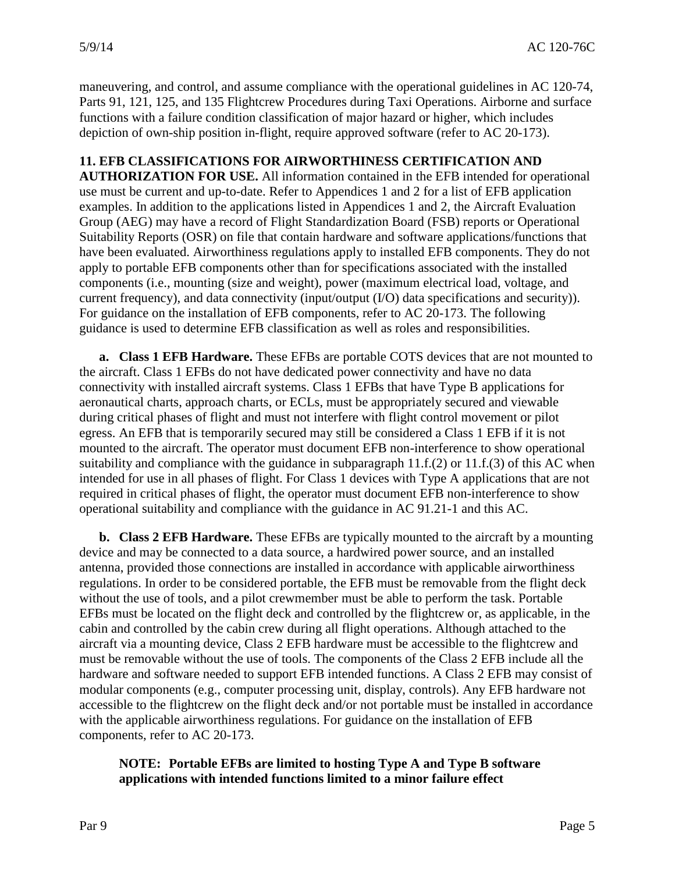depiction of own-ship position in-flight, require approved software (refer to AC 20-173). maneuvering, and control, and assume compliance with the operational guidelines in AC 120-74, Parts 91, 121, 125, and 135 Flightcrew Procedures during Taxi Operations. Airborne and surface functions with a failure condition classification of major hazard or higher, which includes

# **11. EFB CLASSIFICATIONS FOR AIRWORTHINESS CERTIFICATION AND**

 Group (AEG) may have a record of Flight Standardization Board (FSB) reports or Operational **AUTHORIZATION FOR USE.** All information contained in the EFB intended for operational use must be current and up-to-date. Refer to Appendices 1 and 2 for a list of EFB application examples. In addition to the applications listed in Appendices 1 and 2, the Aircraft Evaluation Suitability Reports (OSR) on file that contain hardware and software applications/functions that have been evaluated. Airworthiness regulations apply to installed EFB components. They do not apply to portable EFB components other than for specifications associated with the installed components (i.e., mounting (size and weight), power (maximum electrical load, voltage, and current frequency), and data connectivity (input/output (I/O) data specifications and security)). For guidance on the installation of EFB components, refer to AC 20-173. The following guidance is used to determine EFB classification as well as roles and responsibilities.

**a. Class 1 EFB Hardware.** These EFBs are portable COTS devices that are not mounted to the aircraft. Class 1 EFBs do not have dedicated power connectivity and have no data connectivity with installed aircraft systems. Class 1 EFBs that have Type B applications for aeronautical charts, approach charts, or ECLs, must be appropriately secured and viewable during critical phases of flight and must not interfere with flight control movement or pilot egress. An EFB that is temporarily secured may still be considered a Class 1 EFB if it is not mounted to the aircraft. The operator must document EFB non-interference to show operational suitability and compliance with the guidance in subparagraph  $11.f.(2)$  or  $11.f.(3)$  of this AC when intended for use in all phases of flight. For Class 1 devices with Type A applications that are not required in critical phases of flight, the operator must document EFB non-interference to show operational suitability and compliance with the guidance in AC 91.21-1 and this AC.

 **b. Class 2 EFB Hardware.** These EFBs are typically mounted to the aircraft by a mounting aircraft via a mounting device, Class 2 EFB hardware must be accessible to the flightcrew and device and may be connected to a data source, a hardwired power source, and an installed antenna, provided those connections are installed in accordance with applicable airworthiness regulations. In order to be considered portable, the EFB must be removable from the flight deck without the use of tools, and a pilot crewmember must be able to perform the task. Portable EFBs must be located on the flight deck and controlled by the flightcrew or, as applicable, in the cabin and controlled by the cabin crew during all flight operations. Although attached to the must be removable without the use of tools. The components of the Class 2 EFB include all the hardware and software needed to support EFB intended functions. A Class 2 EFB may consist of modular components (e.g., computer processing unit, display, controls). Any EFB hardware not accessible to the flightcrew on the flight deck and/or not portable must be installed in accordance with the applicable airworthiness regulations. For guidance on the installation of EFB components, refer to AC 20-173.

# **NOTE: Portable EFBs are limited to hosting Type A and Type B software applications with intended functions limited to a minor failure effect**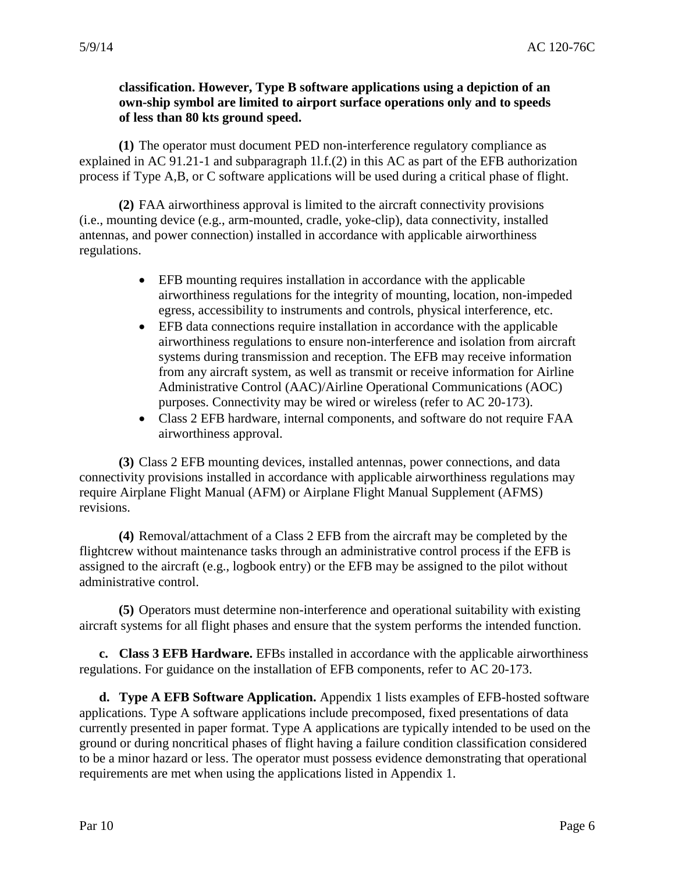#### **classification. However, Type B software applications using a depiction of an own-ship symbol are limited to airport surface operations only and to speeds of less than 80 kts ground speed.**

 process if Type A,B, or C software applications will be used during a critical phase of flight. **(1)** The operator must document PED non-interference regulatory compliance as explained in AC 91.21-1 and subparagraph 1l.f.(2) in this AC as part of the EFB authorization

**(2)** FAA airworthiness approval is limited to the aircraft connectivity provisions (i.e., mounting device (e.g., arm-mounted, cradle, yoke-clip), data connectivity, installed antennas, and power connection) installed in accordance with applicable airworthiness regulations.

- $\bullet$ EFB mounting requires installation in accordance with the applicable airworthiness regulations for the integrity of mounting, location, non-impeded egress, accessibility to instruments and controls, physical interference, etc.
- $\bullet$ EFB data connections require installation in accordance with the applicable airworthiness regulations to ensure non-interference and isolation from aircraft systems during transmission and reception. The EFB may receive information from any aircraft system, as well as transmit or receive information for Airline Administrative Control (AAC)/Airline Operational Communications (AOC) purposes. Connectivity may be wired or wireless (refer to AC 20-173).
- •Class 2 EFB hardware, internal components, and software do not require FAA airworthiness approval.

 require Airplane Flight Manual (AFM) or Airplane Flight Manual Supplement (AFMS) **(3)** Class 2 EFB mounting devices, installed antennas, power connections, and data connectivity provisions installed in accordance with applicable airworthiness regulations may revisions.

 **(4)** Removal/attachment of a Class 2 EFB from the aircraft may be completed by the flightcrew without maintenance tasks through an administrative control process if the EFB is assigned to the aircraft (e.g., logbook entry) or the EFB may be assigned to the pilot without administrative control.

**(5)** Operators must determine non-interference and operational suitability with existing aircraft systems for all flight phases and ensure that the system performs the intended function.

 regulations. For guidance on the installation of EFB components, refer to AC 20-173. **c. Class 3 EFB Hardware.** EFBs installed in accordance with the applicable airworthiness

 applications. Type A software applications include precomposed, fixed presentations of data ground or during noncritical phases of flight having a failure condition classification considered requirements are met when using the applications listed in Appendix 1. **d. Type A EFB Software Application.** Appendix 1 lists examples of EFB-hosted software currently presented in paper format. Type A applications are typically intended to be used on the to be a minor hazard or less. The operator must possess evidence demonstrating that operational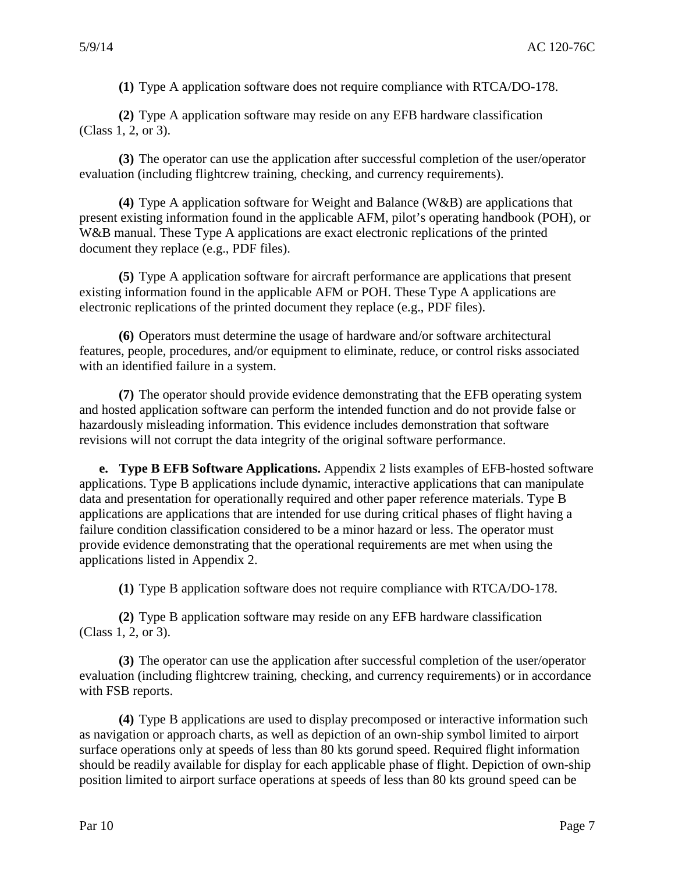**(1)** Type A application software does not require compliance with RTCA/DO-178.

 (Class 1, 2, or 3). **(2)** Type A application software may reside on any EFB hardware classification

**(3)** The operator can use the application after successful completion of the user/operator evaluation (including flightcrew training, checking, and currency requirements).

**(4)** Type A application software for Weight and Balance (W&B) are applications that present existing information found in the applicable AFM, pilot's operating handbook (POH), or W&B manual. These Type A applications are exact electronic replications of the printed document they replace (e.g., PDF files).

 electronic replications of the printed document they replace (e.g., PDF files). **(5)** Type A application software for aircraft performance are applications that present existing information found in the applicable AFM or POH. These Type A applications are

**(6)** Operators must determine the usage of hardware and/or software architectural features, people, procedures, and/or equipment to eliminate, reduce, or control risks associated with an identified failure in a system.

**(7)** The operator should provide evidence demonstrating that the EFB operating system and hosted application software can perform the intended function and do not provide false or hazardously misleading information. This evidence includes demonstration that software revisions will not corrupt the data integrity of the original software performance.

 **e. Type B EFB Software Applications.** Appendix 2 lists examples of EFB-hosted software applications are applications that are intended for use during critical phases of flight having a failure condition classification considered to be a minor hazard or less. The operator must applications. Type B applications include dynamic, interactive applications that can manipulate data and presentation for operationally required and other paper reference materials. Type B provide evidence demonstrating that the operational requirements are met when using the applications listed in Appendix 2.

**(1)** Type B application software does not require compliance with RTCA/DO-178.

 (Class 1, 2, or 3). **(2)** Type B application software may reside on any EFB hardware classification

**(3)** The operator can use the application after successful completion of the user/operator evaluation (including flightcrew training, checking, and currency requirements) or in accordance with FSB reports.

 **(4)** Type B applications are used to display precomposed or interactive information such surface operations only at speeds of less than 80 kts gorund speed. Required flight information position limited to airport surface operations at speeds of less than 80 kts ground speed can be as navigation or approach charts, as well as depiction of an own-ship symbol limited to airport should be readily available for display for each applicable phase of flight. Depiction of own-ship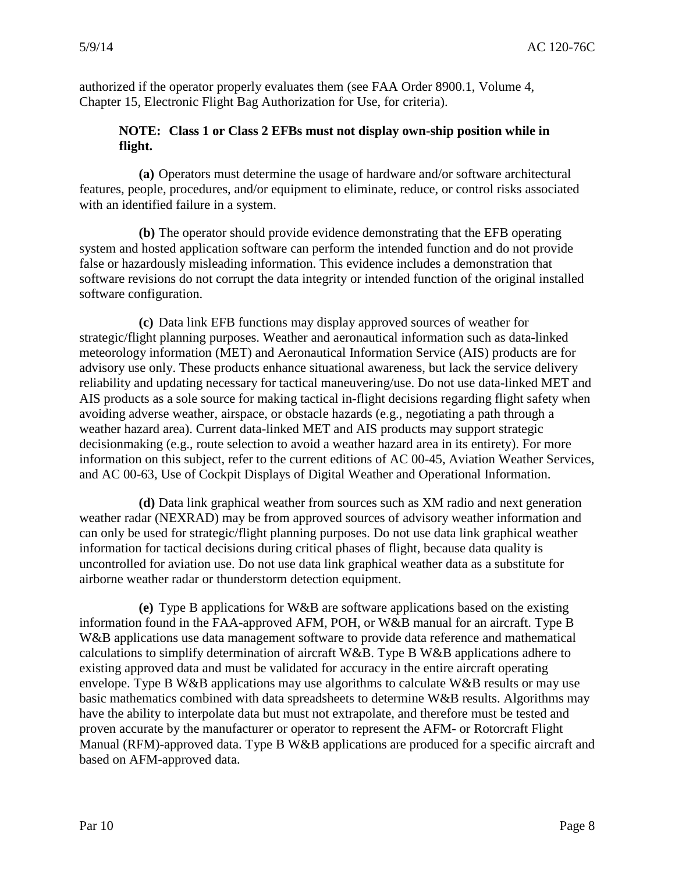Chapter 15, Electronic Flight Bag Authorization for Use, for criteria). authorized if the operator properly evaluates them (see FAA Order 8900.1, Volume 4,

#### **NOTE: Class 1 or Class 2 EFBs must not display own-ship position while in flight.**

**(a)** Operators must determine the usage of hardware and/or software architectural features, people, procedures, and/or equipment to eliminate, reduce, or control risks associated with an identified failure in a system.

**(b)** The operator should provide evidence demonstrating that the EFB operating system and hosted application software can perform the intended function and do not provide false or hazardously misleading information. This evidence includes a demonstration that software revisions do not corrupt the data integrity or intended function of the original installed software configuration.

 **(c)** Data link EFB functions may display approved sources of weather for and AC 00-63, Use of Cockpit Displays of Digital Weather and Operational Information. strategic/flight planning purposes. Weather and aeronautical information such as data-linked meteorology information (MET) and Aeronautical Information Service (AIS) products are for advisory use only. These products enhance situational awareness, but lack the service delivery reliability and updating necessary for tactical maneuvering/use. Do not use data-linked MET and AIS products as a sole source for making tactical in-flight decisions regarding flight safety when avoiding adverse weather, airspace, or obstacle hazards (e.g., negotiating a path through a weather hazard area). Current data-linked MET and AIS products may support strategic decisionmaking (e.g., route selection to avoid a weather hazard area in its entirety). For more information on this subject, refer to the current editions of AC 00-45, Aviation Weather Services,

**(d)** Data link graphical weather from sources such as XM radio and next generation weather radar (NEXRAD) may be from approved sources of advisory weather information and can only be used for strategic/flight planning purposes. Do not use data link graphical weather information for tactical decisions during critical phases of flight, because data quality is uncontrolled for aviation use. Do not use data link graphical weather data as a substitute for airborne weather radar or thunderstorm detection equipment.

 **(e)** Type B applications for W&B are software applications based on the existing envelope. Type B W&B applications may use algorithms to calculate W&B results or may use proven accurate by the manufacturer or operator to represent the AFM- or Rotorcraft Flight Manual (RFM)-approved data. Type B W&B applications are produced for a specific aircraft and information found in the FAA-approved AFM, POH, or W&B manual for an aircraft. Type B W&B applications use data management software to provide data reference and mathematical calculations to simplify determination of aircraft W&B. Type B W&B applications adhere to existing approved data and must be validated for accuracy in the entire aircraft operating basic mathematics combined with data spreadsheets to determine W&B results. Algorithms may have the ability to interpolate data but must not extrapolate, and therefore must be tested and based on AFM-approved data.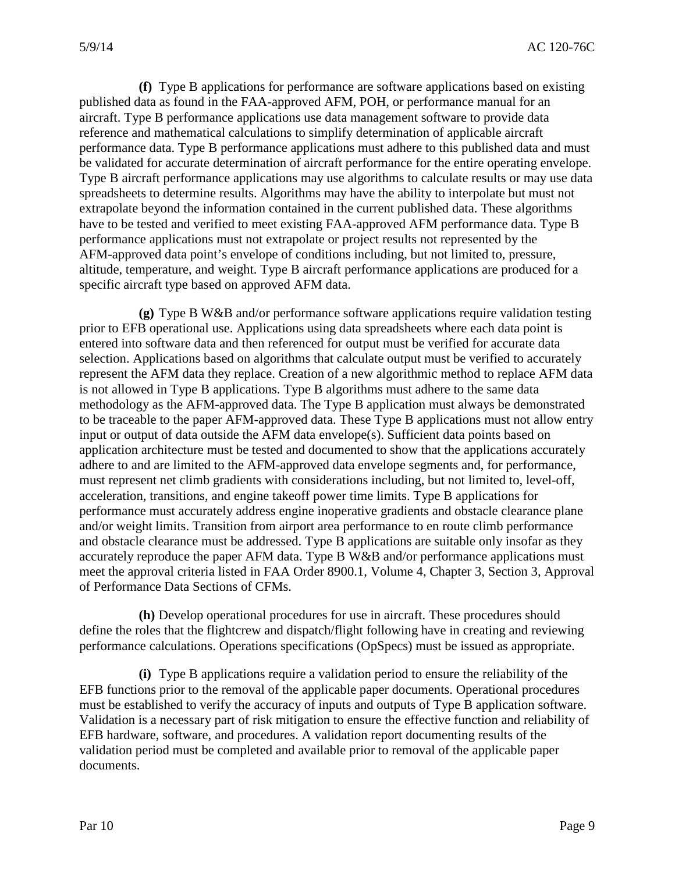**(f)** Type B applications for performance are software applications based on existing published data as found in the FAA-approved AFM, POH, or performance manual for an aircraft. Type B performance applications use data management software to provide data reference and mathematical calculations to simplify determination of applicable aircraft performance data. Type B performance applications must adhere to this published data and must be validated for accurate determination of aircraft performance for the entire operating envelope. Type B aircraft performance applications may use algorithms to calculate results or may use data spreadsheets to determine results. Algorithms may have the ability to interpolate but must not extrapolate beyond the information contained in the current published data. These algorithms have to be tested and verified to meet existing FAA-approved AFM performance data. Type B performance applications must not extrapolate or project results not represented by the AFM-approved data point's envelope of conditions including, but not limited to, pressure, altitude, temperature, and weight. Type B aircraft performance applications are produced for a specific aircraft type based on approved AFM data.

 represent the AFM data they replace. Creation of a new algorithmic method to replace AFM data is not allowed in Type B applications. Type B algorithms must adhere to the same data to be traceable to the paper AFM-approved data. These Type B applications must not allow entry meet the approval criteria listed in FAA Order 8900.1, Volume 4, Chapter 3, Section 3, Approval **(g)** Type B W&B and/or performance software applications require validation testing prior to EFB operational use. Applications using data spreadsheets where each data point is entered into software data and then referenced for output must be verified for accurate data selection. Applications based on algorithms that calculate output must be verified to accurately methodology as the AFM-approved data. The Type B application must always be demonstrated input or output of data outside the AFM data envelope(s). Sufficient data points based on application architecture must be tested and documented to show that the applications accurately adhere to and are limited to the AFM-approved data envelope segments and, for performance, must represent net climb gradients with considerations including, but not limited to, level-off, acceleration, transitions, and engine takeoff power time limits. Type B applications for performance must accurately address engine inoperative gradients and obstacle clearance plane and/or weight limits. Transition from airport area performance to en route climb performance and obstacle clearance must be addressed. Type B applications are suitable only insofar as they accurately reproduce the paper AFM data. Type B W&B and/or performance applications must of Performance Data Sections of CFMs.

**(h)** Develop operational procedures for use in aircraft. These procedures should define the roles that the flightcrew and dispatch/flight following have in creating and reviewing performance calculations. Operations specifications (OpSpecs) must be issued as appropriate.

 **(i)** Type B applications require a validation period to ensure the reliability of the Validation is a necessary part of risk mitigation to ensure the effective function and reliability of EFB functions prior to the removal of the applicable paper documents. Operational procedures must be established to verify the accuracy of inputs and outputs of Type B application software. EFB hardware, software, and procedures. A validation report documenting results of the validation period must be completed and available prior to removal of the applicable paper documents.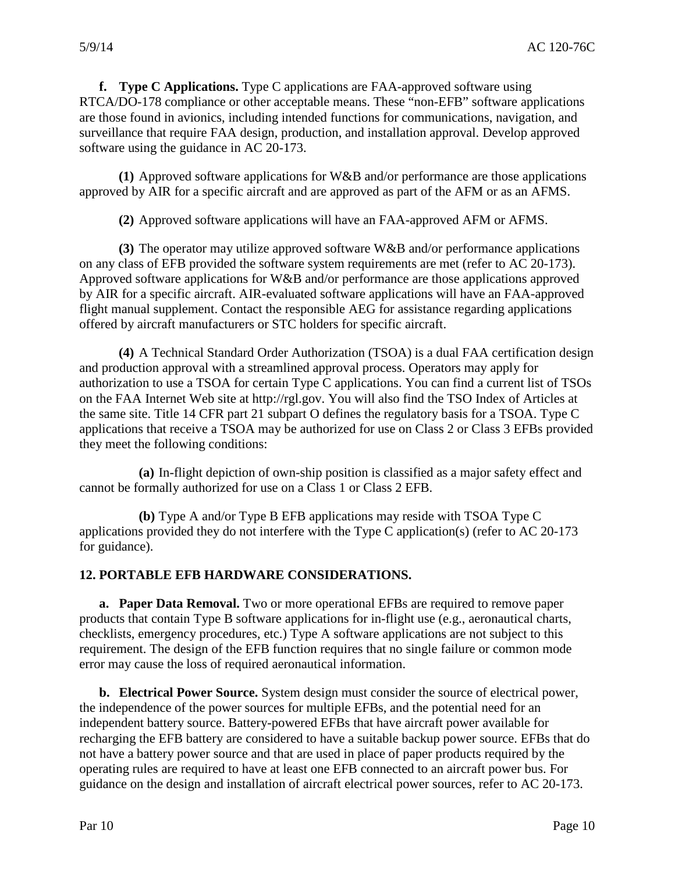**f. Type C Applications.** Type C applications are FAA-approved software using RTCA/DO-178 compliance or other acceptable means. These "non-EFB" software applications are those found in avionics, including intended functions for communications, navigation, and surveillance that require FAA design, production, and installation approval. Develop approved software using the guidance in AC 20-173.

 **(1)** Approved software applications for W&B and/or performance are those applications approved by AIR for a specific aircraft and are approved as part of the AFM or as an AFMS.

**(2)** Approved software applications will have an FAA-approved AFM or AFMS.

 Approved software applications for W&B and/or performance are those applications approved flight manual supplement. Contact the responsible AEG for assistance regarding applications **(3)** The operator may utilize approved software W&B and/or performance applications on any class of EFB provided the software system requirements are met (refer to AC 20-173). by AIR for a specific aircraft. AIR-evaluated software applications will have an FAA-approved offered by aircraft manufacturers or STC holders for specific aircraft.

 and production approval with a streamlined approval process. Operators may apply for the same site. Title 14 CFR part 21 subpart O defines the regulatory basis for a TSOA. Type C applications that receive a TSOA may be authorized for use on Class 2 or Class 3 EFBs provided **(4)** A Technical Standard Order Authorization (TSOA) is a dual FAA certification design authorization to use a TSOA for certain Type C applications. You can find a current list of TSOs on the FAA Internet Web site at http://rgl.gov. You will also find the TSO Index of Articles at they meet the following conditions:

 **(a)** In-flight depiction of own-ship position is classified as a major safety effect and cannot be formally authorized for use on a Class 1 or Class 2 EFB.

**(b)** Type A and/or Type B EFB applications may reside with TSOA Type C applications provided they do not interfere with the Type C application(s) (refer to AC 20-173 for guidance).

#### **12. PORTABLE EFB HARDWARE CONSIDERATIONS.**

 **a. Paper Data Removal.** Two or more operational EFBs are required to remove paper requirement. The design of the EFB function requires that no single failure or common mode products that contain Type B software applications for in-flight use (e.g., aeronautical charts, checklists, emergency procedures, etc.) Type A software applications are not subject to this error may cause the loss of required aeronautical information.

 recharging the EFB battery are considered to have a suitable backup power source. EFBs that do operating rules are required to have at least one EFB connected to an aircraft power bus. For guidance on the design and installation of aircraft electrical power sources, refer to AC 20-173. **b. Electrical Power Source.** System design must consider the source of electrical power, the independence of the power sources for multiple EFBs, and the potential need for an independent battery source. Battery-powered EFBs that have aircraft power available for not have a battery power source and that are used in place of paper products required by the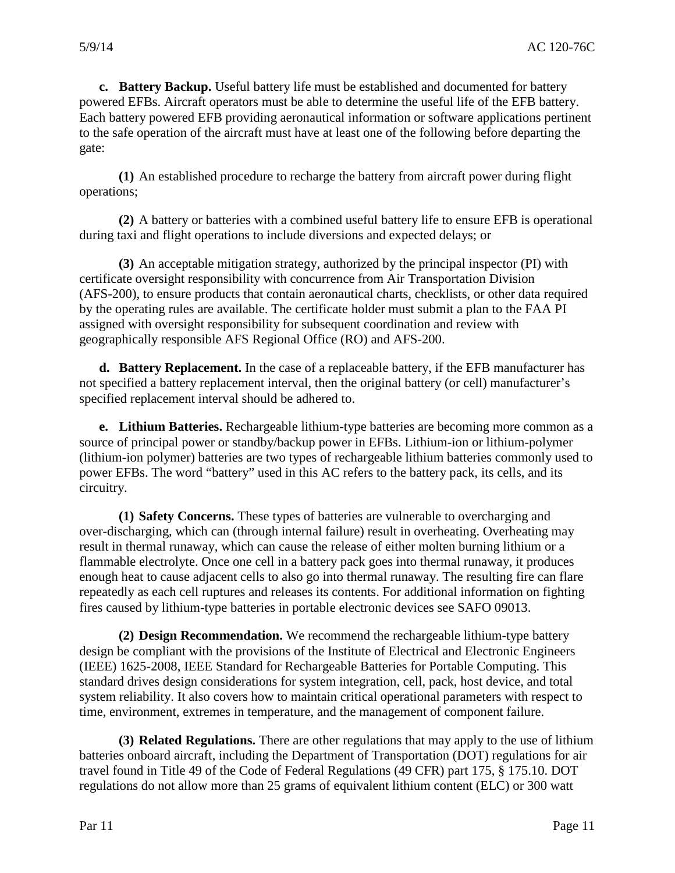**c. Battery Backup.** Useful battery life must be established and documented for battery to the safe operation of the aircraft must have at least one of the following before departing the powered EFBs. Aircraft operators must be able to determine the useful life of the EFB battery. Each battery powered EFB providing aeronautical information or software applications pertinent gate:

**(1)** An established procedure to recharge the battery from aircraft power during flight operations;

**(2)** A battery or batteries with a combined useful battery life to ensure EFB is operational during taxi and flight operations to include diversions and expected delays; or

 **(3)** An acceptable mitigation strategy, authorized by the principal inspector (PI) with certificate oversight responsibility with concurrence from Air Transportation Division (AFS-200), to ensure products that contain aeronautical charts, checklists, or other data required by the operating rules are available. The certificate holder must submit a plan to the FAA PI assigned with oversight responsibility for subsequent coordination and review with geographically responsible AFS Regional Office (RO) and AFS-200.

**d. Battery Replacement.** In the case of a replaceable battery, if the EFB manufacturer has not specified a battery replacement interval, then the original battery (or cell) manufacturer's specified replacement interval should be adhered to.

**e. Lithium Batteries.** Rechargeable lithium-type batteries are becoming more common as a source of principal power or standby/backup power in EFBs. Lithium-ion or lithium-polymer (lithium-ion polymer) batteries are two types of rechargeable lithium batteries commonly used to power EFBs. The word "battery" used in this AC refers to the battery pack, its cells, and its circuitry.

 result in thermal runaway, which can cause the release of either molten burning lithium or a **(1) Safety Concerns.** These types of batteries are vulnerable to overcharging and over-discharging, which can (through internal failure) result in overheating. Overheating may flammable electrolyte. Once one cell in a battery pack goes into thermal runaway, it produces enough heat to cause adjacent cells to also go into thermal runaway. The resulting fire can flare repeatedly as each cell ruptures and releases its contents. For additional information on fighting fires caused by lithium-type batteries in portable electronic devices see SAFO 09013.

 system reliability. It also covers how to maintain critical operational parameters with respect to **(2) Design Recommendation.** We recommend the rechargeable lithium-type battery design be compliant with the provisions of the Institute of Electrical and Electronic Engineers (IEEE) 1625-2008, IEEE Standard for Rechargeable Batteries for Portable Computing. This standard drives design considerations for system integration, cell, pack, host device, and total time, environment, extremes in temperature, and the management of component failure.

 **(3) Related Regulations.** There are other regulations that may apply to the use of lithium batteries onboard aircraft, including the Department of Transportation (DOT) regulations for air travel found in Title 49 of the Code of Federal Regulations (49 CFR) part 175, § 175.10. DOT regulations do not allow more than 25 grams of equivalent lithium content (ELC) or 300 watt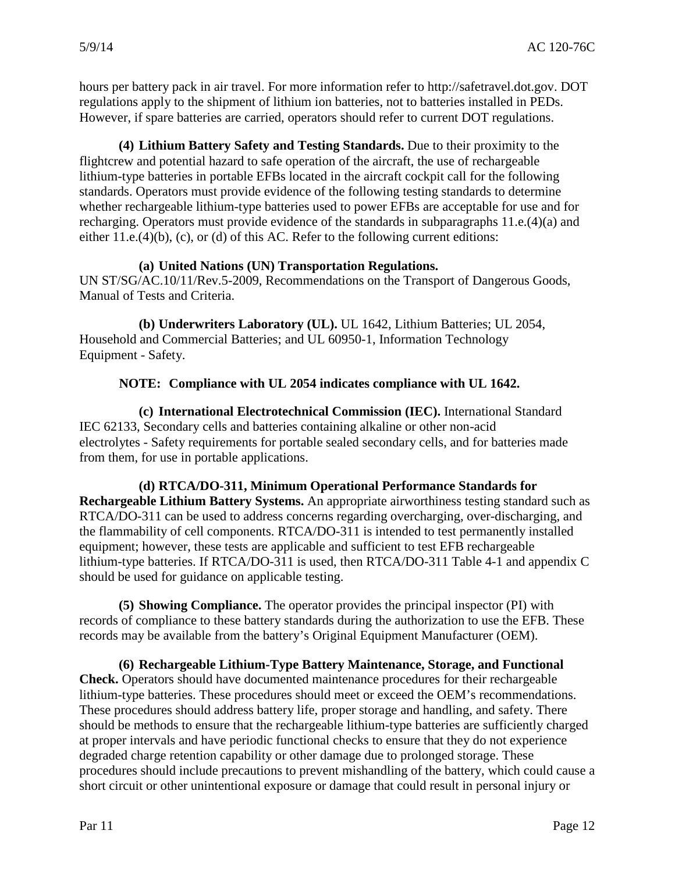hours per battery pack in air travel. For more information refer to http://safetravel.dot.gov. DOT regulations apply to the shipment of lithium ion batteries, not to batteries installed in PEDs. However, if spare batteries are carried, operators should refer to current DOT regulations.

**(4) Lithium Battery Safety and Testing Standards.** Due to their proximity to the flightcrew and potential hazard to safe operation of the aircraft, the use of rechargeable lithium-type batteries in portable EFBs located in the aircraft cockpit call for the following standards. Operators must provide evidence of the following testing standards to determine whether rechargeable lithium-type batteries used to power EFBs are acceptable for use and for recharging. Operators must provide evidence of the standards in subparagraphs 11.e.(4)(a) and either 11.e.(4)(b), (c), or (d) of this AC. Refer to the following current editions:

#### **(a) United Nations (UN) Transportation Regulations.**

UN ST/SG/AC.10/11/Rev.5-2009, Recommendations on the Transport of Dangerous Goods, Manual of Tests and Criteria.

 Equipment - Safety. **(b) Underwriters Laboratory (UL).** UL 1642, Lithium Batteries; UL 2054, Household and Commercial Batteries; and UL 60950-1, Information Technology

# **NOTE: Compliance with UL 2054 indicates compliance with UL 1642.**

 electrolytes - Safety requirements for portable sealed secondary cells, and for batteries made **(c) International Electrotechnical Commission (IEC).** International Standard IEC 62133, Secondary cells and batteries containing alkaline or other non-acid from them, for use in portable applications.

**(d) RTCA/DO-311, Minimum Operational Performance Standards for Rechargeable Lithium Battery Systems.** An appropriate airworthiness testing standard such as RTCA/DO-311 can be used to address concerns regarding overcharging, over-discharging, and the flammability of cell components. RTCA/DO-311 is intended to test permanently installed equipment; however, these tests are applicable and sufficient to test EFB rechargeable lithium-type batteries. If RTCA/DO-311 is used, then RTCA/DO-311 Table 4-1 and appendix C should be used for guidance on applicable testing.

**(5) Showing Compliance.** The operator provides the principal inspector (PI) with records of compliance to these battery standards during the authorization to use the EFB. These records may be available from the battery's Original Equipment Manufacturer (OEM).

 should be methods to ensure that the rechargeable lithium-type batteries are sufficiently charged **(6) Rechargeable Lithium-Type Battery Maintenance, Storage, and Functional Check.** Operators should have documented maintenance procedures for their rechargeable lithium-type batteries. These procedures should meet or exceed the OEM's recommendations. These procedures should address battery life, proper storage and handling, and safety. There at proper intervals and have periodic functional checks to ensure that they do not experience degraded charge retention capability or other damage due to prolonged storage. These procedures should include precautions to prevent mishandling of the battery, which could cause a short circuit or other unintentional exposure or damage that could result in personal injury or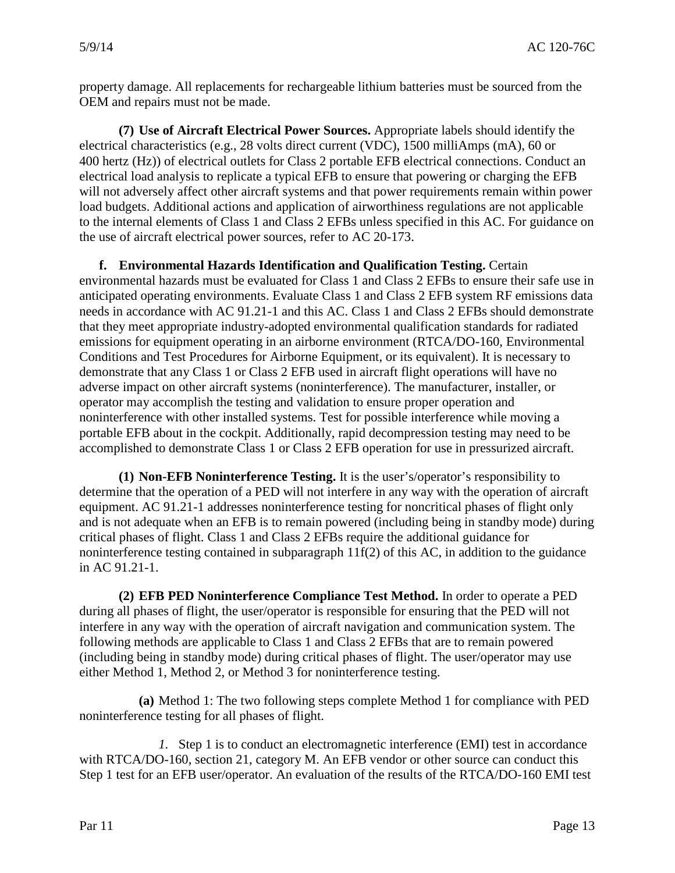property damage. All replacements for rechargeable lithium batteries must be sourced from the OEM and repairs must not be made.

 400 hertz (Hz)) of electrical outlets for Class 2 portable EFB electrical connections. Conduct an the use of aircraft electrical power sources, refer to AC 20-173. **(7) Use of Aircraft Electrical Power Sources.** Appropriate labels should identify the electrical characteristics (e.g., 28 volts direct current (VDC), 1500 milliAmps (mA), 60 or electrical load analysis to replicate a typical EFB to ensure that powering or charging the EFB will not adversely affect other aircraft systems and that power requirements remain within power load budgets. Additional actions and application of airworthiness regulations are not applicable to the internal elements of Class 1 and Class 2 EFBs unless specified in this AC. For guidance on

**f. Environmental Hazards Identification and Qualification Testing.** Certain environmental hazards must be evaluated for Class 1 and Class 2 EFBs to ensure their safe use in anticipated operating environments. Evaluate Class 1 and Class 2 EFB system RF emissions data needs in accordance with AC 91.21-1 and this AC. Class 1 and Class 2 EFBs should demonstrate that they meet appropriate industry-adopted environmental qualification standards for radiated emissions for equipment operating in an airborne environment (RTCA/DO-160, Environmental Conditions and Test Procedures for Airborne Equipment, or its equivalent). It is necessary to demonstrate that any Class 1 or Class 2 EFB used in aircraft flight operations will have no adverse impact on other aircraft systems (noninterference). The manufacturer, installer, or operator may accomplish the testing and validation to ensure proper operation and noninterference with other installed systems. Test for possible interference while moving a portable EFB about in the cockpit. Additionally, rapid decompression testing may need to be accomplished to demonstrate Class 1 or Class 2 EFB operation for use in pressurized aircraft.

 noninterference testing contained in subparagraph 11f(2) of this AC, in addition to the guidance in AC 91.21-1. **(1) Non-EFB Noninterference Testing.** It is the user's/operator's responsibility to determine that the operation of a PED will not interfere in any way with the operation of aircraft equipment. AC 91.21-1 addresses noninterference testing for noncritical phases of flight only and is not adequate when an EFB is to remain powered (including being in standby mode) during critical phases of flight. Class 1 and Class 2 EFBs require the additional guidance for

 interfere in any way with the operation of aircraft navigation and communication system. The either Method 1, Method 2, or Method 3 for noninterference testing. **(2) EFB PED Noninterference Compliance Test Method.** In order to operate a PED during all phases of flight, the user/operator is responsible for ensuring that the PED will not following methods are applicable to Class 1 and Class 2 EFBs that are to remain powered (including being in standby mode) during critical phases of flight. The user/operator may use

 noninterference testing for all phases of flight. **(a)** Method 1: The two following steps complete Method 1 for compliance with PED

*1.* Step 1 is to conduct an electromagnetic interference (EMI) test in accordance with RTCA/DO-160, section 21, category M. An EFB vendor or other source can conduct this Step 1 test for an EFB user/operator. An evaluation of the results of the RTCA/DO-160 EMI test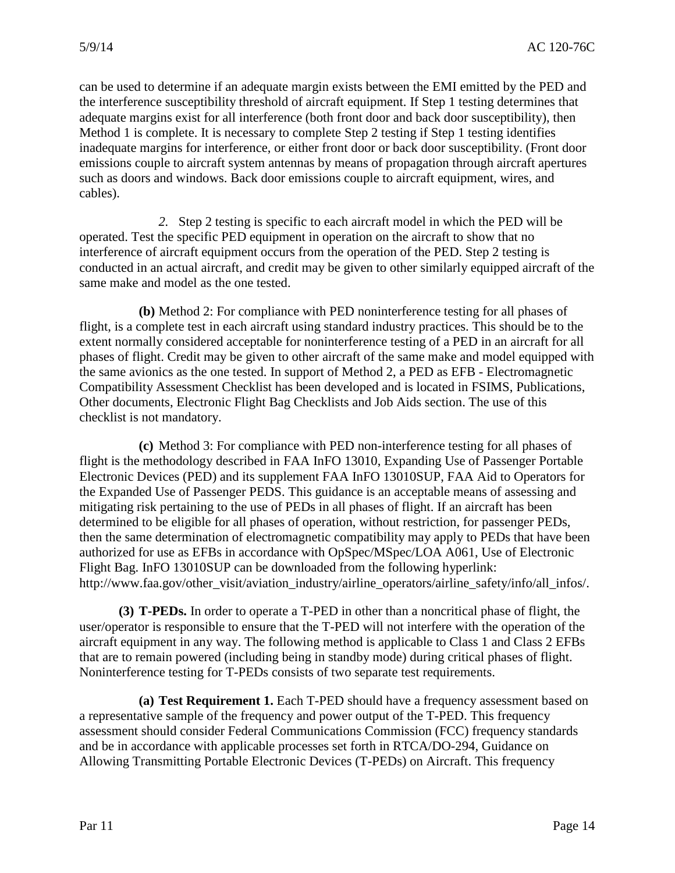can be used to determine if an adequate margin exists between the EMI emitted by the PED and Method 1 is complete. It is necessary to complete Step 2 testing if Step 1 testing identifies the interference susceptibility threshold of aircraft equipment. If Step 1 testing determines that adequate margins exist for all interference (both front door and back door susceptibility), then inadequate margins for interference, or either front door or back door susceptibility. (Front door emissions couple to aircraft system antennas by means of propagation through aircraft apertures such as doors and windows. Back door emissions couple to aircraft equipment, wires, and cables).

*2.* Step 2 testing is specific to each aircraft model in which the PED will be operated. Test the specific PED equipment in operation on the aircraft to show that no interference of aircraft equipment occurs from the operation of the PED. Step 2 testing is conducted in an actual aircraft, and credit may be given to other similarly equipped aircraft of the same make and model as the one tested.

 **(b)** Method 2: For compliance with PED noninterference testing for all phases of extent normally considered acceptable for noninterference testing of a PED in an aircraft for all the same avionics as the one tested. In support of Method 2, a PED as EFB - Electromagnetic flight, is a complete test in each aircraft using standard industry practices. This should be to the phases of flight. Credit may be given to other aircraft of the same make and model equipped with Compatibility Assessment Checklist has been developed and is located in FSIMS, Publications, Other documents, Electronic Flight Bag Checklists and Job Aids section. The use of this checklist is not mandatory.

 **(c)** Method 3: For compliance with PED non-interference testing for all phases of mitigating risk pertaining to the use of PEDs in all phases of flight. If an aircraft has been flight is the methodology described in FAA InFO 13010, Expanding Use of Passenger Portable Electronic Devices (PED) and its supplement FAA InFO 13010SUP, FAA Aid to Operators for the Expanded Use of Passenger PEDS. This guidance is an acceptable means of assessing and determined to be eligible for all phases of operation, without restriction, for passenger PEDs, then the same determination of electromagnetic compatibility may apply to PEDs that have been authorized for use as EFBs in accordance with OpSpec/MSpec/LOA A061, Use of Electronic Flight Bag. InFO 13010SUP can be downloaded from the following hyperlink: http://www.faa.gov/other\_visit/aviation\_industry/airline\_operators/airline\_safety/info/all\_infos/.

**(3) T-PEDs.** In order to operate a T-PED in other than a noncritical phase of flight, the user/operator is responsible to ensure that the T-PED will not interfere with the operation of the aircraft equipment in any way. The following method is applicable to Class 1 and Class 2 EFBs that are to remain powered (including being in standby mode) during critical phases of flight. Noninterference testing for T-PEDs consists of two separate test requirements.

 **(a) Test Requirement 1.** Each T-PED should have a frequency assessment based on a representative sample of the frequency and power output of the T-PED. This frequency assessment should consider Federal Communications Commission (FCC) frequency standards and be in accordance with applicable processes set forth in RTCA/DO-294, Guidance on Allowing Transmitting Portable Electronic Devices (T-PEDs) on Aircraft. This frequency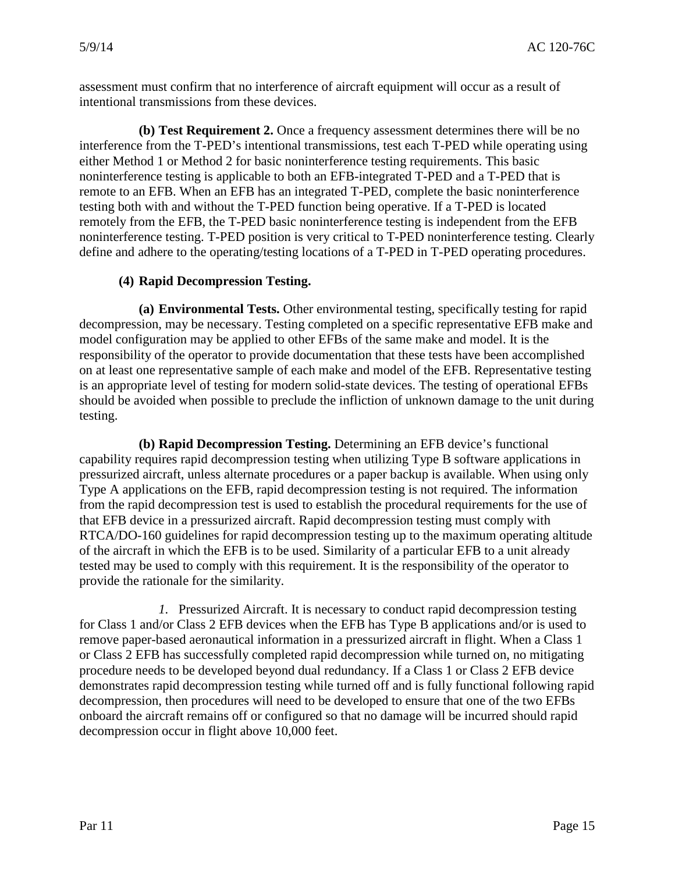assessment must confirm that no interference of aircraft equipment will occur as a result of intentional transmissions from these devices.

**(b) Test Requirement 2.** Once a frequency assessment determines there will be no interference from the T-PED's intentional transmissions, test each T-PED while operating using either Method 1 or Method 2 for basic noninterference testing requirements. This basic noninterference testing is applicable to both an EFB-integrated T-PED and a T-PED that is remote to an EFB. When an EFB has an integrated T-PED, complete the basic noninterference testing both with and without the T-PED function being operative. If a T-PED is located remotely from the EFB, the T-PED basic noninterference testing is independent from the EFB noninterference testing. T-PED position is very critical to T-PED noninterference testing. Clearly define and adhere to the operating/testing locations of a T-PED in T-PED operating procedures.

# **(4) Rapid Decompression Testing.**

 **(a) Environmental Tests.** Other environmental testing, specifically testing for rapid decompression, may be necessary. Testing completed on a specific representative EFB make and model configuration may be applied to other EFBs of the same make and model. It is the responsibility of the operator to provide documentation that these tests have been accomplished on at least one representative sample of each make and model of the EFB. Representative testing is an appropriate level of testing for modern solid-state devices. The testing of operational EFBs should be avoided when possible to preclude the infliction of unknown damage to the unit during testing.

 capability requires rapid decompression testing when utilizing Type B software applications in RTCA/DO-160 guidelines for rapid decompression testing up to the maximum operating altitude **(b) Rapid Decompression Testing.** Determining an EFB device's functional pressurized aircraft, unless alternate procedures or a paper backup is available. When using only Type A applications on the EFB, rapid decompression testing is not required. The information from the rapid decompression test is used to establish the procedural requirements for the use of that EFB device in a pressurized aircraft. Rapid decompression testing must comply with of the aircraft in which the EFB is to be used. Similarity of a particular EFB to a unit already tested may be used to comply with this requirement. It is the responsibility of the operator to provide the rationale for the similarity.

 for Class 1 and/or Class 2 EFB devices when the EFB has Type B applications and/or is used to procedure needs to be developed beyond dual redundancy. If a Class 1 or Class 2 EFB device demonstrates rapid decompression testing while turned off and is fully functional following rapid *1.* Pressurized Aircraft. It is necessary to conduct rapid decompression testing remove paper-based aeronautical information in a pressurized aircraft in flight. When a Class 1 or Class 2 EFB has successfully completed rapid decompression while turned on, no mitigating decompression, then procedures will need to be developed to ensure that one of the two EFBs onboard the aircraft remains off or configured so that no damage will be incurred should rapid decompression occur in flight above 10,000 feet.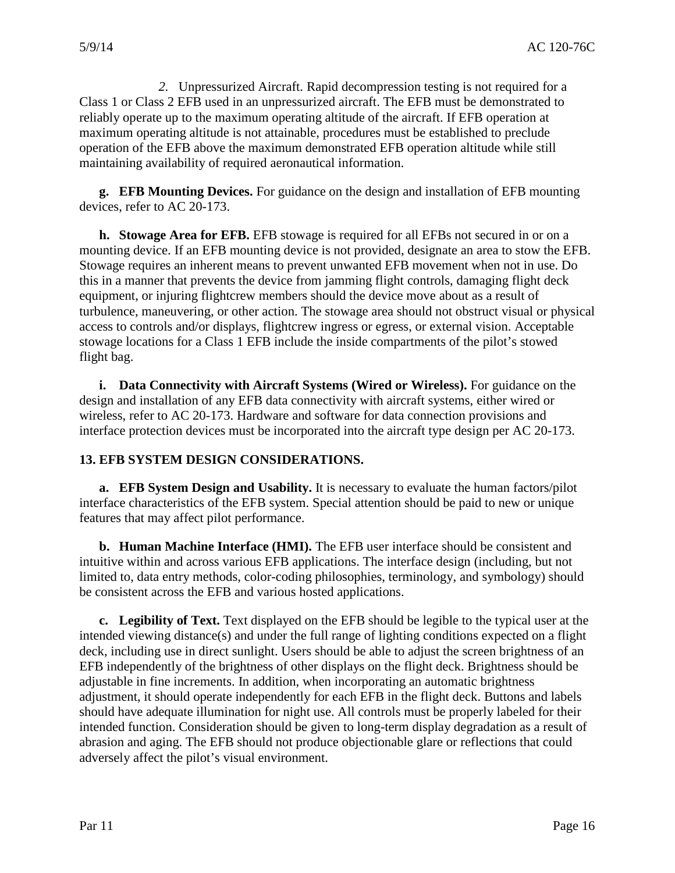*2.* Unpressurized Aircraft. Rapid decompression testing is not required for a Class 1 or Class 2 EFB used in an unpressurized aircraft. The EFB must be demonstrated to reliably operate up to the maximum operating altitude of the aircraft. If EFB operation at maximum operating altitude is not attainable, procedures must be established to preclude operation of the EFB above the maximum demonstrated EFB operation altitude while still maintaining availability of required aeronautical information.

 **g. EFB Mounting Devices.** For guidance on the design and installation of EFB mounting devices, refer to AC 20-173.

**h. Stowage Area for EFB.** EFB stowage is required for all EFBs not secured in or on a mounting device. If an EFB mounting device is not provided, designate an area to stow the EFB. Stowage requires an inherent means to prevent unwanted EFB movement when not in use. Do this in a manner that prevents the device from jamming flight controls, damaging flight deck equipment, or injuring flightcrew members should the device move about as a result of turbulence, maneuvering, or other action. The stowage area should not obstruct visual or physical access to controls and/or displays, flightcrew ingress or egress, or external vision. Acceptable stowage locations for a Class 1 EFB include the inside compartments of the pilot's stowed flight bag.

 **i. Data Connectivity with Aircraft Systems (Wired or Wireless).** For guidance on the design and installation of any EFB data connectivity with aircraft systems, either wired or wireless, refer to AC 20-173. Hardware and software for data connection provisions and interface protection devices must be incorporated into the aircraft type design per AC 20-173.

#### **13. EFB SYSTEM DESIGN CONSIDERATIONS.**

**a. EFB System Design and Usability.** It is necessary to evaluate the human factors/pilot interface characteristics of the EFB system. Special attention should be paid to new or unique features that may affect pilot performance.

 be consistent across the EFB and various hosted applications. **b. Human Machine Interface (HMI).** The EFB user interface should be consistent and intuitive within and across various EFB applications. The interface design (including, but not limited to, data entry methods, color-coding philosophies, terminology, and symbology) should

 **c. Legibility of Text.** Text displayed on the EFB should be legible to the typical user at the adjustable in fine increments. In addition, when incorporating an automatic brightness intended viewing distance(s) and under the full range of lighting conditions expected on a flight deck, including use in direct sunlight. Users should be able to adjust the screen brightness of an EFB independently of the brightness of other displays on the flight deck. Brightness should be adjustment, it should operate independently for each EFB in the flight deck. Buttons and labels should have adequate illumination for night use. All controls must be properly labeled for their intended function. Consideration should be given to long-term display degradation as a result of abrasion and aging. The EFB should not produce objectionable glare or reflections that could adversely affect the pilot's visual environment.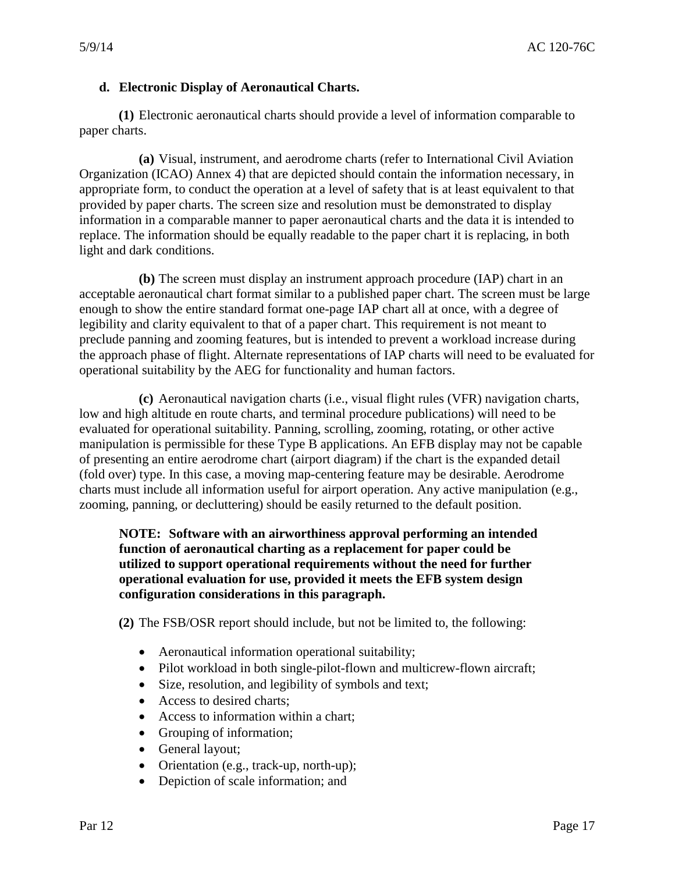# **d. Electronic Display of Aeronautical Charts.**

**(1)** Electronic aeronautical charts should provide a level of information comparable to paper charts.

**(a)** Visual, instrument, and aerodrome charts (refer to International Civil Aviation Organization (ICAO) Annex 4) that are depicted should contain the information necessary, in appropriate form, to conduct the operation at a level of safety that is at least equivalent to that provided by paper charts. The screen size and resolution must be demonstrated to display information in a comparable manner to paper aeronautical charts and the data it is intended to replace. The information should be equally readable to the paper chart it is replacing, in both light and dark conditions.

**(b)** The screen must display an instrument approach procedure (IAP) chart in an acceptable aeronautical chart format similar to a published paper chart. The screen must be large enough to show the entire standard format one-page IAP chart all at once, with a degree of legibility and clarity equivalent to that of a paper chart. This requirement is not meant to preclude panning and zooming features, but is intended to prevent a workload increase during the approach phase of flight. Alternate representations of IAP charts will need to be evaluated for operational suitability by the AEG for functionality and human factors.

 manipulation is permissible for these Type B applications. An EFB display may not be capable zooming, panning, or decluttering) should be easily returned to the default position. **(c)** Aeronautical navigation charts (i.e., visual flight rules (VFR) navigation charts, low and high altitude en route charts, and terminal procedure publications) will need to be evaluated for operational suitability. Panning, scrolling, zooming, rotating, or other active of presenting an entire aerodrome chart (airport diagram) if the chart is the expanded detail (fold over) type. In this case, a moving map-centering feature may be desirable. Aerodrome charts must include all information useful for airport operation. Any active manipulation (e.g.,

#### **configuration considerations in this paragraph. NOTE: Software with an airworthiness approval performing an intended function of aeronautical charting as a replacement for paper could be utilized to support operational requirements without the need for further operational evaluation for use, provided it meets the EFB system design**

**(2)** The FSB/OSR report should include, but not be limited to, the following:

- Aeronautical information operational suitability;
- Pilot workload in both single-pilot-flown and multicrew-flown aircraft;
- Size, resolution, and legibility of symbols and text;
- Access to desired charts;
- Access to information within a chart;
- Grouping of information;
- General layout;
- Orientation (e.g., track-up, north-up);
- Depiction of scale information; and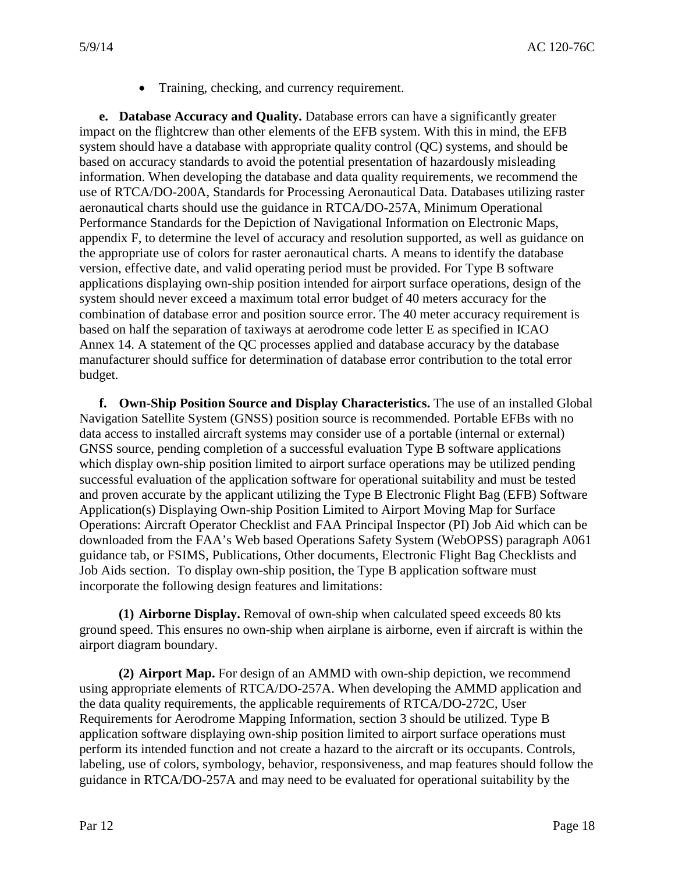• Training, checking, and currency requirement.

 **e. Database Accuracy and Quality.** Database errors can have a significantly greater system should never exceed a maximum total error budget of 40 meters accuracy for the combination of database error and position source error. The 40 meter accuracy requirement is based on half the separation of taxiways at aerodrome code letter E as specified in ICAO impact on the flightcrew than other elements of the EFB system. With this in mind, the EFB system should have a database with appropriate quality control (QC) systems, and should be based on accuracy standards to avoid the potential presentation of hazardously misleading information. When developing the database and data quality requirements, we recommend the use of RTCA/DO-200A, Standards for Processing Aeronautical Data. Databases utilizing raster aeronautical charts should use the guidance in RTCA/DO-257A, Minimum Operational Performance Standards for the Depiction of Navigational Information on Electronic Maps, appendix F, to determine the level of accuracy and resolution supported, as well as guidance on the appropriate use of colors for raster aeronautical charts. A means to identify the database version, effective date, and valid operating period must be provided. For Type B software applications displaying own-ship position intended for airport surface operations, design of the Annex 14. A statement of the QC processes applied and database accuracy by the database manufacturer should suffice for determination of database error contribution to the total error budget.

 **f. Own-Ship Position Source and Display Characteristics.** The use of an installed Global and proven accurate by the applicant utilizing the Type B Electronic Flight Bag (EFB) Software Operations: Aircraft Operator Checklist and FAA Principal Inspector (PI) Job Aid which can be Navigation Satellite System (GNSS) position source is recommended. Portable EFBs with no data access to installed aircraft systems may consider use of a portable (internal or external) GNSS source, pending completion of a successful evaluation Type B software applications which display own-ship position limited to airport surface operations may be utilized pending successful evaluation of the application software for operational suitability and must be tested Application(s) Displaying Own-ship Position Limited to Airport Moving Map for Surface downloaded from the FAA's Web based Operations Safety System (WebOPSS) paragraph A061 guidance tab, or FSIMS, Publications, Other documents, Electronic Flight Bag Checklists and Job Aids section. To display own-ship position, the Type B application software must incorporate the following design features and limitations:

 **(1) Airborne Display.** Removal of own-ship when calculated speed exceeds 80 kts ground speed. This ensures no own-ship when airplane is airborne, even if aircraft is within the airport diagram boundary.

 perform its intended function and not create a hazard to the aircraft or its occupants. Controls, **(2) Airport Map.** For design of an AMMD with own-ship depiction, we recommend using appropriate elements of RTCA/DO-257A. When developing the AMMD application and the data quality requirements, the applicable requirements of RTCA/DO-272C, User Requirements for Aerodrome Mapping Information, section 3 should be utilized. Type B application software displaying own-ship position limited to airport surface operations must labeling, use of colors, symbology, behavior, responsiveness, and map features should follow the guidance in RTCA/DO-257A and may need to be evaluated for operational suitability by the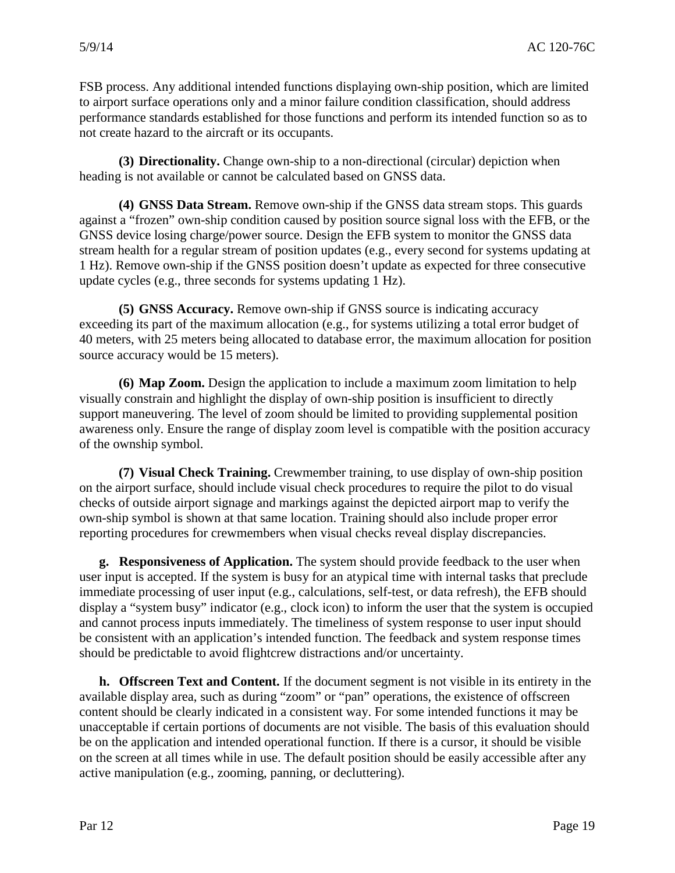FSB process. Any additional intended functions displaying own-ship position, which are limited to airport surface operations only and a minor failure condition classification, should address performance standards established for those functions and perform its intended function so as to not create hazard to the aircraft or its occupants.

**(3) Directionality.** Change own-ship to a non-directional (circular) depiction when heading is not available or cannot be calculated based on GNSS data.

 1 Hz). Remove own-ship if the GNSS position doesn't update as expected for three consecutive **(4) GNSS Data Stream.** Remove own-ship if the GNSS data stream stops. This guards against a "frozen" own-ship condition caused by position source signal loss with the EFB, or the GNSS device losing charge/power source. Design the EFB system to monitor the GNSS data stream health for a regular stream of position updates (e.g., every second for systems updating at update cycles (e.g., three seconds for systems updating 1 Hz).

 source accuracy would be 15 meters). **(5) GNSS Accuracy.** Remove own-ship if GNSS source is indicating accuracy exceeding its part of the maximum allocation (e.g., for systems utilizing a total error budget of 40 meters, with 25 meters being allocated to database error, the maximum allocation for position

**(6) Map Zoom.** Design the application to include a maximum zoom limitation to help visually constrain and highlight the display of own-ship position is insufficient to directly support maneuvering. The level of zoom should be limited to providing supplemental position awareness only. Ensure the range of display zoom level is compatible with the position accuracy of the ownship symbol.

 checks of outside airport signage and markings against the depicted airport map to verify the own-ship symbol is shown at that same location. Training should also include proper error reporting procedures for crewmembers when visual checks reveal display discrepancies. **(7) Visual Check Training.** Crewmember training, to use display of own-ship position on the airport surface, should include visual check procedures to require the pilot to do visual

 user input is accepted. If the system is busy for an atypical time with internal tasks that preclude **g. Responsiveness of Application.** The system should provide feedback to the user when immediate processing of user input (e.g., calculations, self-test, or data refresh), the EFB should display a "system busy" indicator (e.g., clock icon) to inform the user that the system is occupied and cannot process inputs immediately. The timeliness of system response to user input should be consistent with an application's intended function. The feedback and system response times should be predictable to avoid flightcrew distractions and/or uncertainty.

**h. Offscreen Text and Content.** If the document segment is not visible in its entirety in the available display area, such as during "zoom" or "pan" operations, the existence of offscreen content should be clearly indicated in a consistent way. For some intended functions it may be unacceptable if certain portions of documents are not visible. The basis of this evaluation should be on the application and intended operational function. If there is a cursor, it should be visible on the screen at all times while in use. The default position should be easily accessible after any active manipulation (e.g., zooming, panning, or decluttering).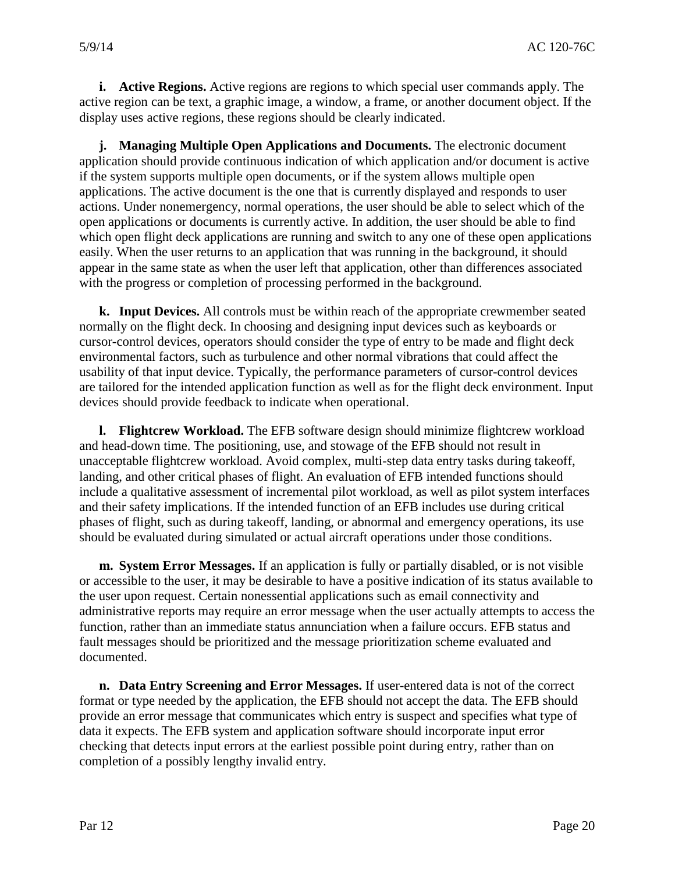active region can be text, a graphic image, a window, a frame, or another document object. If the **i. Active Regions.** Active regions are regions to which special user commands apply. The display uses active regions, these regions should be clearly indicated.

 appear in the same state as when the user left that application, other than differences associated **j. Managing Multiple Open Applications and Documents.** The electronic document application should provide continuous indication of which application and/or document is active if the system supports multiple open documents, or if the system allows multiple open applications. The active document is the one that is currently displayed and responds to user actions. Under nonemergency, normal operations, the user should be able to select which of the open applications or documents is currently active. In addition, the user should be able to find which open flight deck applications are running and switch to any one of these open applications easily. When the user returns to an application that was running in the background, it should with the progress or completion of processing performed in the background.

 **k. Input Devices.** All controls must be within reach of the appropriate crewmember seated normally on the flight deck. In choosing and designing input devices such as keyboards or cursor-control devices, operators should consider the type of entry to be made and flight deck environmental factors, such as turbulence and other normal vibrations that could affect the usability of that input device. Typically, the performance parameters of cursor-control devices are tailored for the intended application function as well as for the flight deck environment. Input devices should provide feedback to indicate when operational.

 and their safety implications. If the intended function of an EFB includes use during critical **l. Flightcrew Workload.** The EFB software design should minimize flightcrew workload and head-down time. The positioning, use, and stowage of the EFB should not result in unacceptable flightcrew workload. Avoid complex, multi-step data entry tasks during takeoff, landing, and other critical phases of flight. An evaluation of EFB intended functions should include a qualitative assessment of incremental pilot workload, as well as pilot system interfaces phases of flight, such as during takeoff, landing, or abnormal and emergency operations, its use should be evaluated during simulated or actual aircraft operations under those conditions.

**m. System Error Messages.** If an application is fully or partially disabled, or is not visible or accessible to the user, it may be desirable to have a positive indication of its status available to the user upon request. Certain nonessential applications such as email connectivity and administrative reports may require an error message when the user actually attempts to access the function, rather than an immediate status annunciation when a failure occurs. EFB status and fault messages should be prioritized and the message prioritization scheme evaluated and documented.

 **n. Data Entry Screening and Error Messages.** If user-entered data is not of the correct format or type needed by the application, the EFB should not accept the data. The EFB should provide an error message that communicates which entry is suspect and specifies what type of data it expects. The EFB system and application software should incorporate input error checking that detects input errors at the earliest possible point during entry, rather than on completion of a possibly lengthy invalid entry.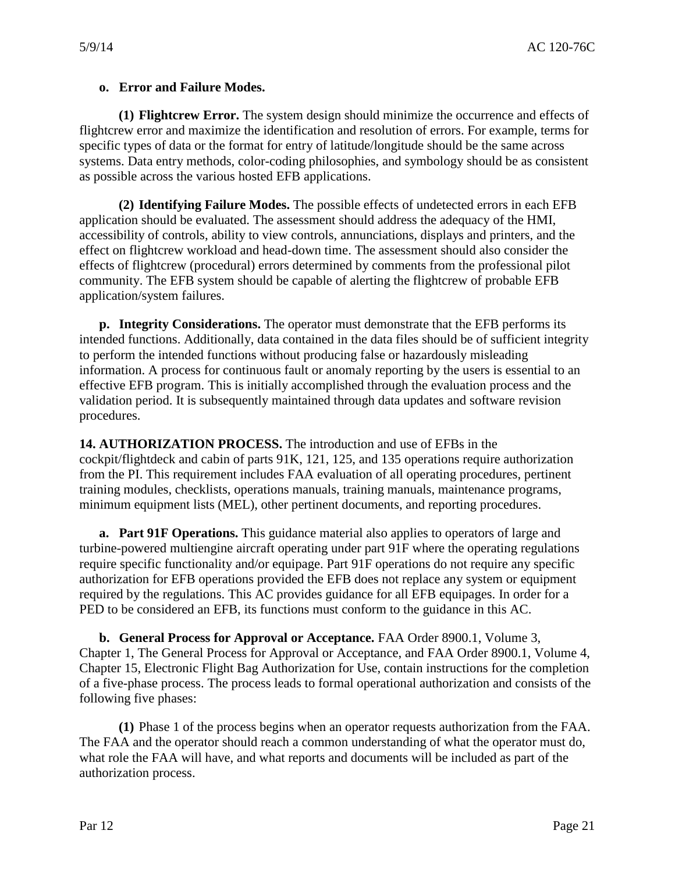# **o. Error and Failure Modes.**

**(1) Flightcrew Error.** The system design should minimize the occurrence and effects of flightcrew error and maximize the identification and resolution of errors. For example, terms for specific types of data or the format for entry of latitude/longitude should be the same across systems. Data entry methods, color-coding philosophies, and symbology should be as consistent as possible across the various hosted EFB applications.

**(2) Identifying Failure Modes.** The possible effects of undetected errors in each EFB application should be evaluated. The assessment should address the adequacy of the HMI, accessibility of controls, ability to view controls, annunciations, displays and printers, and the effect on flightcrew workload and head-down time. The assessment should also consider the effects of flightcrew (procedural) errors determined by comments from the professional pilot community. The EFB system should be capable of alerting the flightcrew of probable EFB application/system failures.

 to perform the intended functions without producing false or hazardously misleading **p. Integrity Considerations.** The operator must demonstrate that the EFB performs its intended functions. Additionally, data contained in the data files should be of sufficient integrity information. A process for continuous fault or anomaly reporting by the users is essential to an effective EFB program. This is initially accomplished through the evaluation process and the validation period. It is subsequently maintained through data updates and software revision procedures.

 cockpit/flightdeck and cabin of parts 91K, 121, 125, and 135 operations require authorization minimum equipment lists (MEL), other pertinent documents, and reporting procedures. **14. AUTHORIZATION PROCESS.** The introduction and use of EFBs in the from the PI. This requirement includes FAA evaluation of all operating procedures, pertinent training modules, checklists, operations manuals, training manuals, maintenance programs,

 turbine-powered multiengine aircraft operating under part 91F where the operating regulations authorization for EFB operations provided the EFB does not replace any system or equipment required by the regulations. This AC provides guidance for all EFB equipages. In order for a **a. Part 91F Operations.** This guidance material also applies to operators of large and require specific functionality and/or equipage. Part 91F operations do not require any specific PED to be considered an EFB, its functions must conform to the guidance in this AC.

**b. General Process for Approval or Acceptance.** FAA Order 8900.1, Volume 3, Chapter 1, The General Process for Approval or Acceptance, and FAA Order 8900.1, Volume 4, Chapter 15, Electronic Flight Bag Authorization for Use, contain instructions for the completion of a five-phase process. The process leads to formal operational authorization and consists of the following five phases:

**(1)** Phase 1 of the process begins when an operator requests authorization from the FAA. The FAA and the operator should reach a common understanding of what the operator must do, what role the FAA will have, and what reports and documents will be included as part of the authorization process.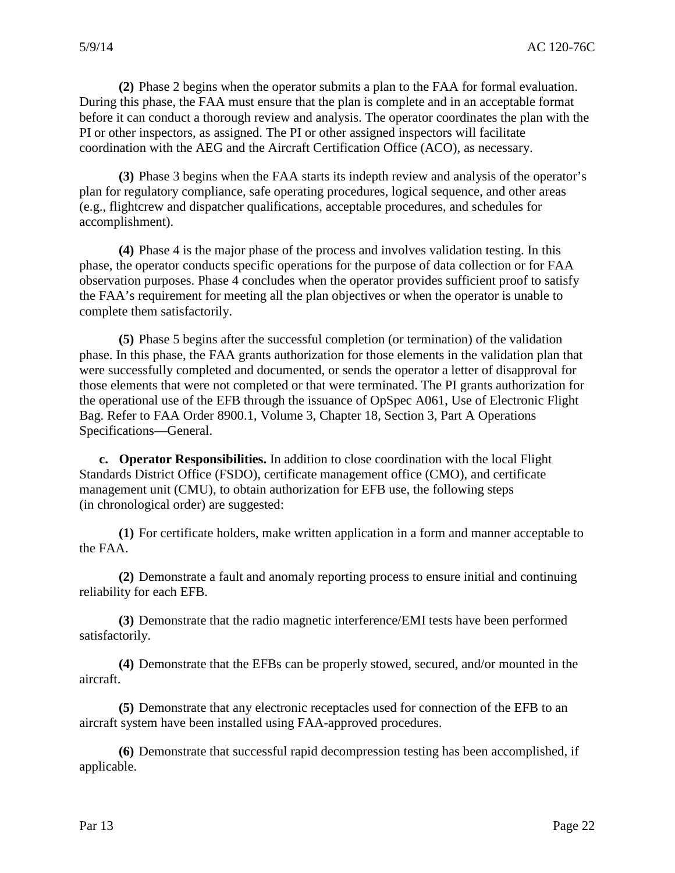coordination with the AEG and the Aircraft Certification Office (ACO), as necessary. **(2)** Phase 2 begins when the operator submits a plan to the FAA for formal evaluation. During this phase, the FAA must ensure that the plan is complete and in an acceptable format before it can conduct a thorough review and analysis. The operator coordinates the plan with the PI or other inspectors, as assigned. The PI or other assigned inspectors will facilitate

**(3)** Phase 3 begins when the FAA starts its indepth review and analysis of the operator's plan for regulatory compliance, safe operating procedures, logical sequence, and other areas (e.g., flightcrew and dispatcher qualifications, acceptable procedures, and schedules for accomplishment).

 **(4)** Phase 4 is the major phase of the process and involves validation testing. In this phase, the operator conducts specific operations for the purpose of data collection or for FAA observation purposes. Phase 4 concludes when the operator provides sufficient proof to satisfy the FAA's requirement for meeting all the plan objectives or when the operator is unable to complete them satisfactorily.

 phase. In this phase, the FAA grants authorization for those elements in the validation plan that were successfully completed and documented, or sends the operator a letter of disapproval for the operational use of the EFB through the issuance of OpSpec A061, Use of Electronic Flight **(5)** Phase 5 begins after the successful completion (or termination) of the validation those elements that were not completed or that were terminated. The PI grants authorization for Bag. Refer to FAA Order 8900.1, Volume 3, Chapter 18, Section 3, Part A Operations Specifications—General.

**c. Operator Responsibilities.** In addition to close coordination with the local Flight Standards District Office (FSDO), certificate management office (CMO), and certificate management unit (CMU), to obtain authorization for EFB use, the following steps (in chronological order) are suggested:

**(1)** For certificate holders, make written application in a form and manner acceptable to the FAA.

**(2)** Demonstrate a fault and anomaly reporting process to ensure initial and continuing reliability for each EFB.

**(3)** Demonstrate that the radio magnetic interference/EMI tests have been performed satisfactorily.

**(4)** Demonstrate that the EFBs can be properly stowed, secured, and/or mounted in the aircraft.

**(5)** Demonstrate that any electronic receptacles used for connection of the EFB to an aircraft system have been installed using FAA-approved procedures.

**(6)** Demonstrate that successful rapid decompression testing has been accomplished, if applicable.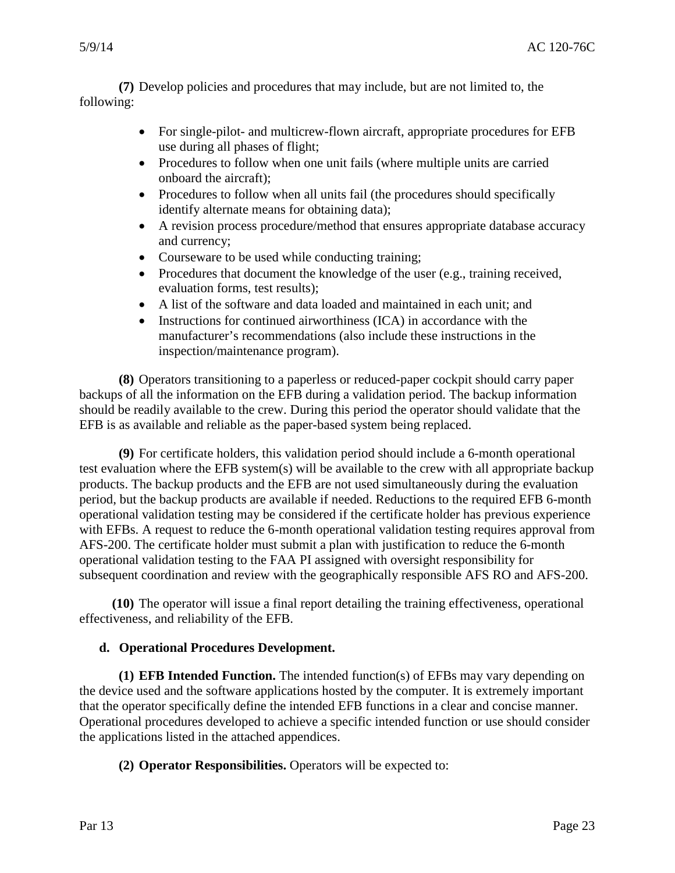**(7)** Develop policies and procedures that may include, but are not limited to, the following:

- •For single-pilot- and multicrew-flown aircraft, appropriate procedures for EFB use during all phases of flight;
- Procedures to follow when one unit fails (where multiple units are carried onboard the aircraft);
- Procedures to follow when all units fail (the procedures should specifically identify alternate means for obtaining data);
- •A revision process procedure/method that ensures appropriate database accuracy and currency;
- $\bullet$ Courseware to be used while conducting training;
- Procedures that document the knowledge of the user (e.g., training received, evaluation forms, test results);
- •A list of the software and data loaded and maintained in each unit; and
- $\bullet$ Instructions for continued airworthiness (ICA) in accordance with the manufacturer's recommendations (also include these instructions in the inspection/maintenance program).

 **(8)** Operators transitioning to a paperless or reduced-paper cockpit should carry paper backups of all the information on the EFB during a validation period. The backup information should be readily available to the crew. During this period the operator should validate that the EFB is as available and reliable as the paper-based system being replaced.

 AFS-200. The certificate holder must submit a plan with justification to reduce the 6-month subsequent coordination and review with the geographically responsible AFS RO and AFS-200. **(9)** For certificate holders, this validation period should include a 6-month operational test evaluation where the EFB system(s) will be available to the crew with all appropriate backup products. The backup products and the EFB are not used simultaneously during the evaluation period, but the backup products are available if needed. Reductions to the required EFB 6-month operational validation testing may be considered if the certificate holder has previous experience with EFBs. A request to reduce the 6-month operational validation testing requires approval from operational validation testing to the FAA PI assigned with oversight responsibility for

**(10)** The operator will issue a final report detailing the training effectiveness, operational effectiveness, and reliability of the EFB.

# d. Operational Procedures Development.

 that the operator specifically define the intended EFB functions in a clear and concise manner. **(1) EFB Intended Function.** The intended function(s) of EFBs may vary depending on the device used and the software applications hosted by the computer. It is extremely important Operational procedures developed to achieve a specific intended function or use should consider the applications listed in the attached appendices.

**(2) Operator Responsibilities.** Operators will be expected to: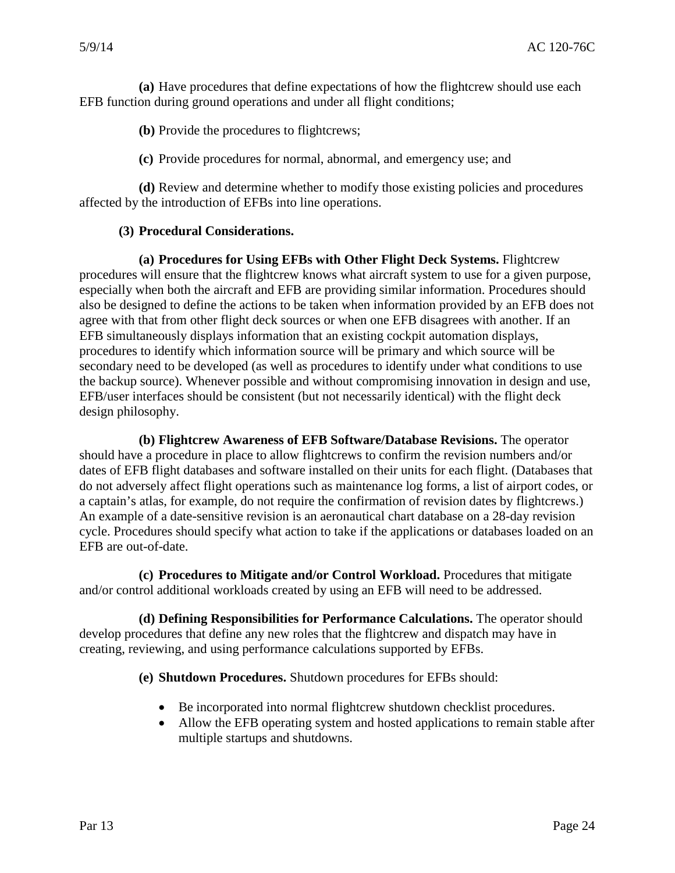**(a)** Have procedures that define expectations of how the flightcrew should use each EFB function during ground operations and under all flight conditions;

**(b)** Provide the procedures to flightcrews;

 **(c)**Provide procedures for normal, abnormal, and emergency use; and

**(d)** Review and determine whether to modify those existing policies and procedures affected by the introduction of EFBs into line operations.

#### **(3) Procedural Considerations.**

**(a) Procedures for Using EFBs with Other Flight Deck Systems.** Flightcrew procedures will ensure that the flightcrew knows what aircraft system to use for a given purpose, especially when both the aircraft and EFB are providing similar information. Procedures should also be designed to define the actions to be taken when information provided by an EFB does not agree with that from other flight deck sources or when one EFB disagrees with another. If an EFB simultaneously displays information that an existing cockpit automation displays, procedures to identify which information source will be primary and which source will be secondary need to be developed (as well as procedures to identify under what conditions to use the backup source). Whenever possible and without compromising innovation in design and use, EFB/user interfaces should be consistent (but not necessarily identical) with the flight deck design philosophy.

 a captain's atlas, for example, do not require the confirmation of revision dates by flightcrews.) **(b) Flightcrew Awareness of EFB Software/Database Revisions.** The operator should have a procedure in place to allow flightcrews to confirm the revision numbers and/or dates of EFB flight databases and software installed on their units for each flight. (Databases that do not adversely affect flight operations such as maintenance log forms, a list of airport codes, or An example of a date-sensitive revision is an aeronautical chart database on a 28-day revision cycle. Procedures should specify what action to take if the applications or databases loaded on an EFB are out-of-date.

**(c) Procedures to Mitigate and/or Control Workload.** Procedures that mitigate and/or control additional workloads created by using an EFB will need to be addressed.

**(d) Defining Responsibilities for Performance Calculations.** The operator should develop procedures that define any new roles that the flightcrew and dispatch may have in creating, reviewing, and using performance calculations supported by EFBs.

**(e) Shutdown Procedures.** Shutdown procedures for EFBs should:

- •Be incorporated into normal flightcrew shutdown checklist procedures.
- •Allow the EFB operating system and hosted applications to remain stable after multiple startups and shutdowns.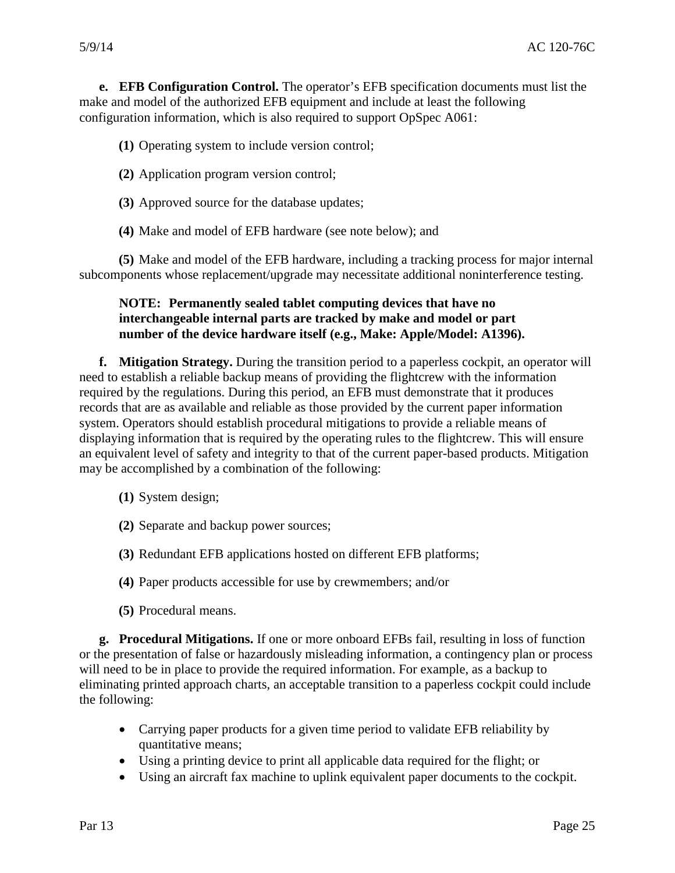**e. EFB Configuration Control.** The operator's EFB specification documents must list the make and model of the authorized EFB equipment and include at least the following configuration information, which is also required to support OpSpec A061:

**(1)** Operating system to include version control;

- **(2)** Application program version control;
- **(3)** Approved source for the database updates;
- **(4)** Make and model of EFB hardware (see note below); and

 subcomponents whose replacement/upgrade may necessitate additional noninterference testing. **(5)** Make and model of the EFB hardware, including a tracking process for major internal

## **number of the device hardware itself (e.g., Make: Apple/Model: A1396). NOTE: Permanently sealed tablet computing devices that have no interchangeable internal parts are tracked by make and model or part**

 records that are as available and reliable as those provided by the current paper information **f. Mitigation Strategy.** During the transition period to a paperless cockpit, an operator will need to establish a reliable backup means of providing the flightcrew with the information required by the regulations. During this period, an EFB must demonstrate that it produces system. Operators should establish procedural mitigations to provide a reliable means of displaying information that is required by the operating rules to the flightcrew. This will ensure an equivalent level of safety and integrity to that of the current paper-based products. Mitigation may be accomplished by a combination of the following:

- **(1)** System design;
- **(2)** Separate and backup power sources;
- **(3)** Redundant EFB applications hosted on different EFB platforms;
- **(4)** Paper products accessible for use by crewmembers; and/or
- **(5)** Procedural means.

**g. Procedural Mitigations.** If one or more onboard EFBs fail, resulting in loss of function or the presentation of false or hazardously misleading information, a contingency plan or process will need to be in place to provide the required information. For example, as a backup to eliminating printed approach charts, an acceptable transition to a paperless cockpit could include the following:

- •Carrying paper products for a given time period to validate EFB reliability by quantitative means;
- •Using a printing device to print all applicable data required for the flight; or
- •Using an aircraft fax machine to uplink equivalent paper documents to the cockpit.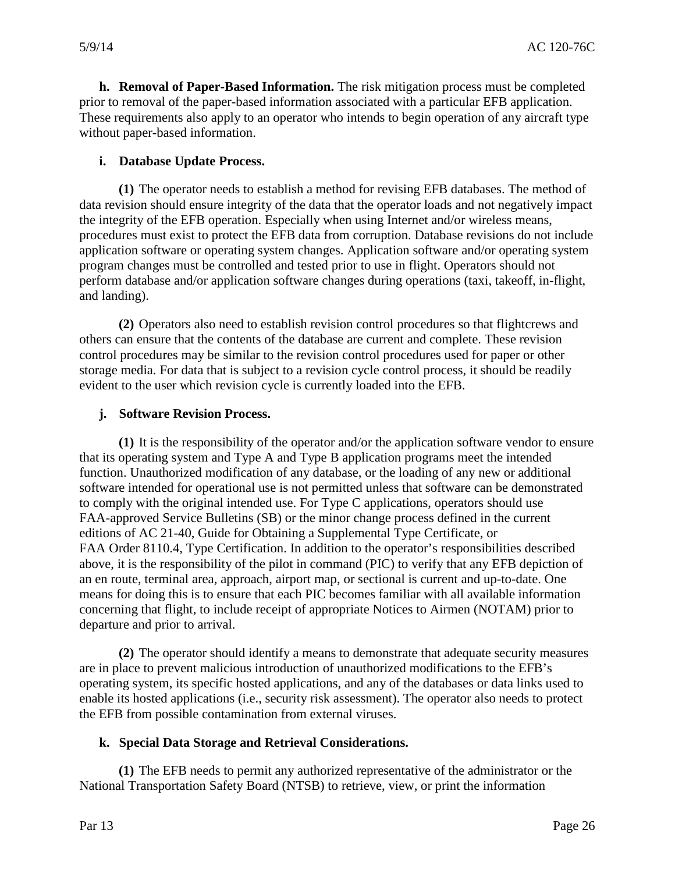**h. Removal of Paper-Based Information.** The risk mitigation process must be completed prior to removal of the paper-based information associated with a particular EFB application. These requirements also apply to an operator who intends to begin operation of any aircraft type without paper-based information.

# **i. Database Update Process.**

 **(1)** The operator needs to establish a method for revising EFB databases. The method of data revision should ensure integrity of the data that the operator loads and not negatively impact the integrity of the EFB operation. Especially when using Internet and/or wireless means, procedures must exist to protect the EFB data from corruption. Database revisions do not include application software or operating system changes. Application software and/or operating system program changes must be controlled and tested prior to use in flight. Operators should not perform database and/or application software changes during operations (taxi, takeoff, in-flight, and landing).

**(2)** Operators also need to establish revision control procedures so that flightcrews and others can ensure that the contents of the database are current and complete. These revision control procedures may be similar to the revision control procedures used for paper or other storage media. For data that is subject to a revision cycle control process, it should be readily evident to the user which revision cycle is currently loaded into the EFB.

#### **j. Software Revision Process.**

 **(1)** It is the responsibility of the operator and/or the application software vendor to ensure that its operating system and Type A and Type B application programs meet the intended function. Unauthorized modification of any database, or the loading of any new or additional FAA Order 8110.4, Type Certification. In addition to the operator's responsibilities described software intended for operational use is not permitted unless that software can be demonstrated to comply with the original intended use. For Type C applications, operators should use FAA-approved Service Bulletins (SB) or the minor change process defined in the current editions of AC 21-40, Guide for Obtaining a Supplemental Type Certificate, or above, it is the responsibility of the pilot in command (PIC) to verify that any EFB depiction of an en route, terminal area, approach, airport map, or sectional is current and up-to-date. One means for doing this is to ensure that each PIC becomes familiar with all available information concerning that flight, to include receipt of appropriate Notices to Airmen (NOTAM) prior to departure and prior to arrival.

 enable its hosted applications (i.e., security risk assessment). The operator also needs to protect **(2)** The operator should identify a means to demonstrate that adequate security measures are in place to prevent malicious introduction of unauthorized modifications to the EFB's operating system, its specific hosted applications, and any of the databases or data links used to the EFB from possible contamination from external viruses.

#### **k. Special Data Storage and Retrieval Considerations.**

**(1)** The EFB needs to permit any authorized representative of the administrator or the National Transportation Safety Board (NTSB) to retrieve, view, or print the information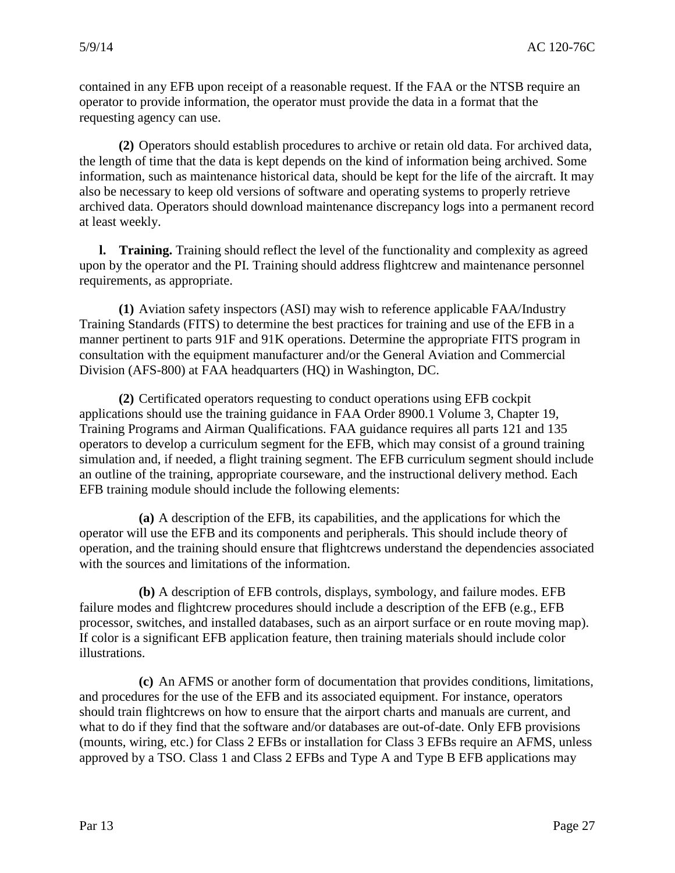contained in any EFB upon receipt of a reasonable request. If the FAA or the NTSB require an operator to provide information, the operator must provide the data in a format that the requesting agency can use.

 information, such as maintenance historical data, should be kept for the life of the aircraft. It may **(2)** Operators should establish procedures to archive or retain old data. For archived data, the length of time that the data is kept depends on the kind of information being archived. Some also be necessary to keep old versions of software and operating systems to properly retrieve archived data. Operators should download maintenance discrepancy logs into a permanent record at least weekly.

 requirements, as appropriate. **l. Training.** Training should reflect the level of the functionality and complexity as agreed upon by the operator and the PI. Training should address flightcrew and maintenance personnel

 Training Standards (FITS) to determine the best practices for training and use of the EFB in a **(1)** Aviation safety inspectors (ASI) may wish to reference applicable FAA/Industry manner pertinent to parts 91F and 91K operations. Determine the appropriate FITS program in consultation with the equipment manufacturer and/or the General Aviation and Commercial Division (AFS-800) at FAA headquarters (HQ) in Washington, DC.

 applications should use the training guidance in FAA Order 8900.1 Volume 3, Chapter 19, Training Programs and Airman Qualifications. FAA guidance requires all parts 121 and 135 operators to develop a curriculum segment for the EFB, which may consist of a ground training **(2)** Certificated operators requesting to conduct operations using EFB cockpit simulation and, if needed, a flight training segment. The EFB curriculum segment should include an outline of the training, appropriate courseware, and the instructional delivery method. Each EFB training module should include the following elements:

**(a)** A description of the EFB, its capabilities, and the applications for which the operator will use the EFB and its components and peripherals. This should include theory of operation, and the training should ensure that flightcrews understand the dependencies associated with the sources and limitations of the information.

 failure modes and flightcrew procedures should include a description of the EFB (e.g., EFB **(b)** A description of EFB controls, displays, symbology, and failure modes. EFB processor, switches, and installed databases, such as an airport surface or en route moving map). If color is a significant EFB application feature, then training materials should include color illustrations.

 approved by a TSO. Class 1 and Class 2 EFBs and Type A and Type B EFB applications may **(c)** An AFMS or another form of documentation that provides conditions, limitations, and procedures for the use of the EFB and its associated equipment. For instance, operators should train flightcrews on how to ensure that the airport charts and manuals are current, and what to do if they find that the software and/or databases are out-of-date. Only EFB provisions (mounts, wiring, etc.) for Class 2 EFBs or installation for Class 3 EFBs require an AFMS, unless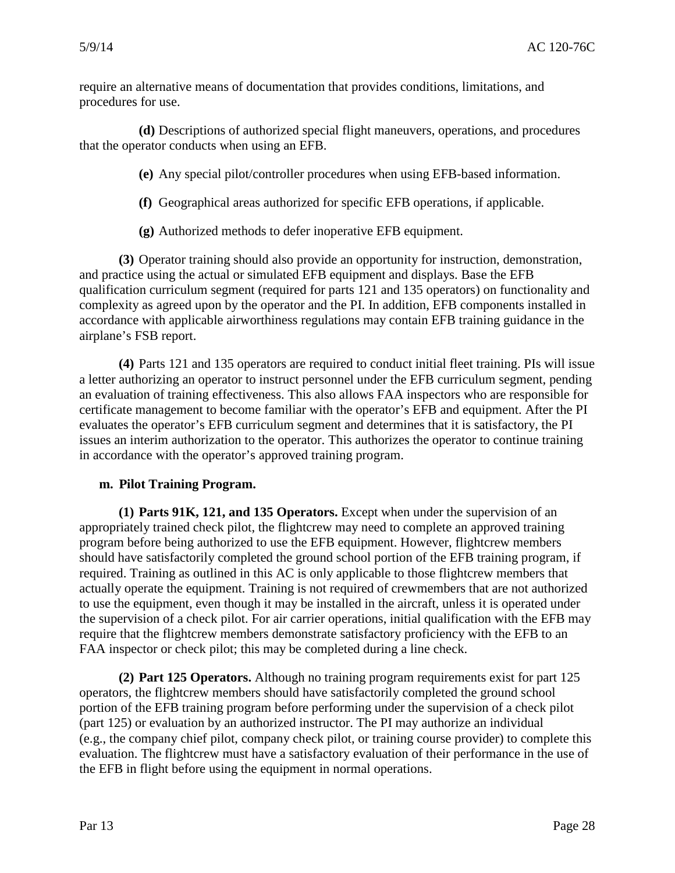require an alternative means of documentation that provides conditions, limitations, and procedures for use.

 that the operator conducts when using an EFB. **(d)** Descriptions of authorized special flight maneuvers, operations, and procedures

**(e)** Any special pilot/controller procedures when using EFB-based information.

- **(f)** Geographical areas authorized for specific EFB operations, if applicable.
- **(g)** Authorized methods to defer inoperative EFB equipment.

**(3)** Operator training should also provide an opportunity for instruction, demonstration, and practice using the actual or simulated EFB equipment and displays. Base the EFB qualification curriculum segment (required for parts 121 and 135 operators) on functionality and complexity as agreed upon by the operator and the PI. In addition, EFB components installed in accordance with applicable airworthiness regulations may contain EFB training guidance in the airplane's FSB report.

 evaluates the operator's EFB curriculum segment and determines that it is satisfactory, the PI **(4)** Parts 121 and 135 operators are required to conduct initial fleet training. PIs will issue a letter authorizing an operator to instruct personnel under the EFB curriculum segment, pending an evaluation of training effectiveness. This also allows FAA inspectors who are responsible for certificate management to become familiar with the operator's EFB and equipment. After the PI issues an interim authorization to the operator. This authorizes the operator to continue training in accordance with the operator's approved training program.

#### **m. Pilot Training Program.**

 require that the flightcrew members demonstrate satisfactory proficiency with the EFB to an FAA inspector or check pilot; this may be completed during a line check. **(1) Parts 91K, 121, and 135 Operators.** Except when under the supervision of an appropriately trained check pilot, the flightcrew may need to complete an approved training program before being authorized to use the EFB equipment. However, flightcrew members should have satisfactorily completed the ground school portion of the EFB training program, if required. Training as outlined in this AC is only applicable to those flightcrew members that actually operate the equipment. Training is not required of crewmembers that are not authorized to use the equipment, even though it may be installed in the aircraft, unless it is operated under the supervision of a check pilot. For air carrier operations, initial qualification with the EFB may

 operators, the flightcrew members should have satisfactorily completed the ground school (part 125) or evaluation by an authorized instructor. The PI may authorize an individual (e.g., the company chief pilot, company check pilot, or training course provider) to complete this **(2) Part 125 Operators.** Although no training program requirements exist for part 125 portion of the EFB training program before performing under the supervision of a check pilot evaluation. The flightcrew must have a satisfactory evaluation of their performance in the use of the EFB in flight before using the equipment in normal operations.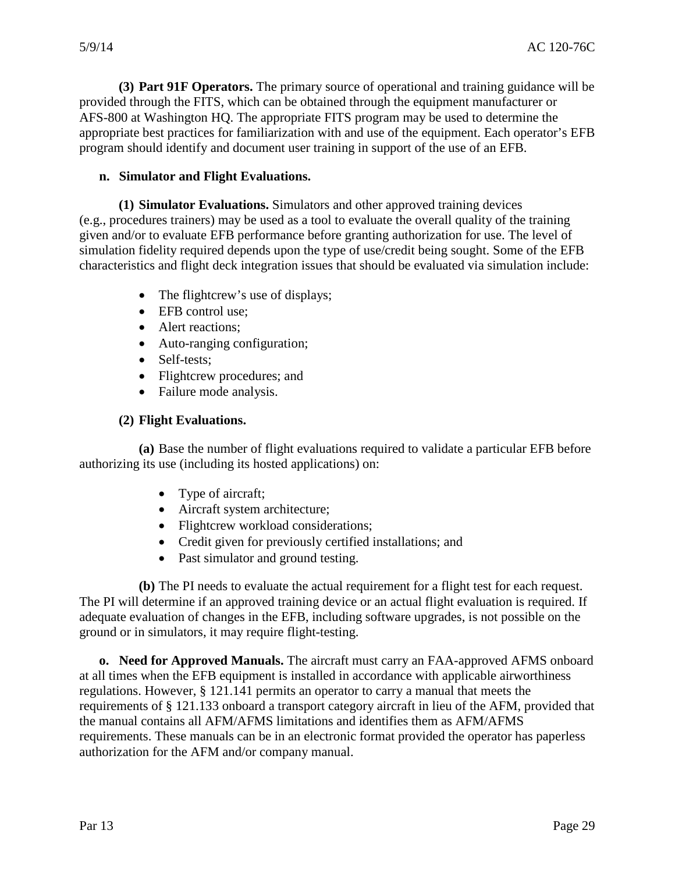**(3) Part 91F Operators.** The primary source of operational and training guidance will be provided through the FITS, which can be obtained through the equipment manufacturer or AFS-800 at Washington HQ. The appropriate FITS program may be used to determine the appropriate best practices for familiarization with and use of the equipment. Each operator's EFB program should identify and document user training in support of the use of an EFB.

#### **n. Simulator and Flight Evaluations.**

 given and/or to evaluate EFB performance before granting authorization for use. The level of characteristics and flight deck integration issues that should be evaluated via simulation include: **(1) Simulator Evaluations.** Simulators and other approved training devices (e.g., procedures trainers) may be used as a tool to evaluate the overall quality of the training simulation fidelity required depends upon the type of use/credit being sought. Some of the EFB

- The flightcrew's use of displays;
- EFB control use;
- Alert reactions:
- Auto-ranging configuration;
- Self-tests:
- Flightcrew procedures; and
- Failure mode analysis.

# **(2) Flight Evaluations.**

 **(a)** Base the number of flight evaluations required to validate a particular EFB before authorizing its use (including its hosted applications) on:

- Type of aircraft;
- Aircraft system architecture;
- Flightcrew workload considerations;
- Credit given for previously certified installations; and
- Past simulator and ground testing.

**(b)** The PI needs to evaluate the actual requirement for a flight test for each request. The PI will determine if an approved training device or an actual flight evaluation is required. If adequate evaluation of changes in the EFB, including software upgrades, is not possible on the ground or in simulators, it may require flight-testing.

 **o. Need for Approved Manuals.** The aircraft must carry an FAA-approved AFMS onboard authorization for the AFM and/or company manual. at all times when the EFB equipment is installed in accordance with applicable airworthiness regulations. However, § 121.141 permits an operator to carry a manual that meets the requirements of § 121.133 onboard a transport category aircraft in lieu of the AFM, provided that the manual contains all AFM/AFMS limitations and identifies them as AFM/AFMS requirements. These manuals can be in an electronic format provided the operator has paperless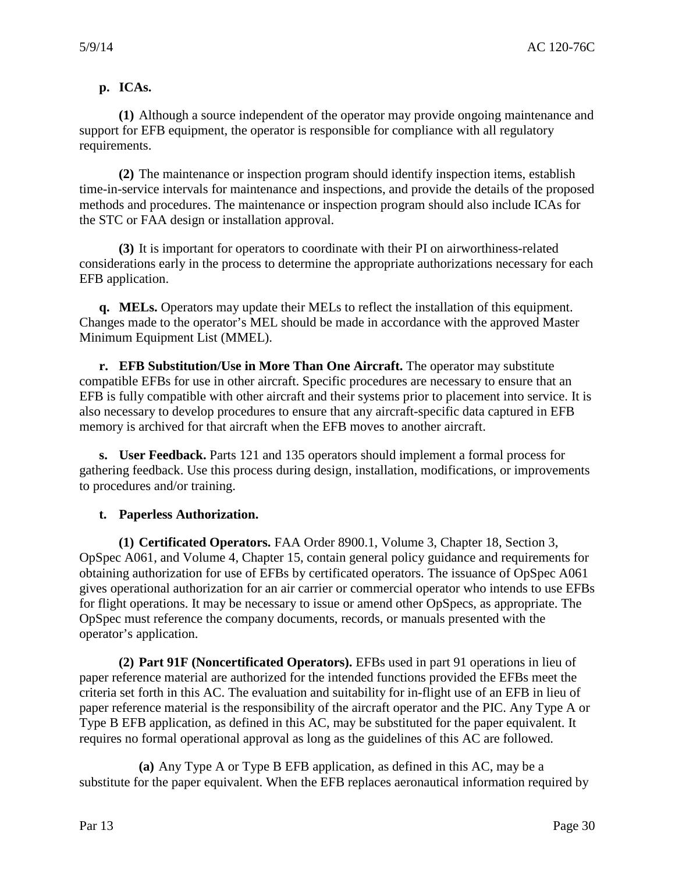# **p. ICAs.**

**(1)** Although a source independent of the operator may provide ongoing maintenance and support for EFB equipment, the operator is responsible for compliance with all regulatory requirements.

 methods and procedures. The maintenance or inspection program should also include ICAs for **(2)** The maintenance or inspection program should identify inspection items, establish time-in-service intervals for maintenance and inspections, and provide the details of the proposed the STC or FAA design or installation approval.

**(3)** It is important for operators to coordinate with their PI on airworthiness-related considerations early in the process to determine the appropriate authorizations necessary for each EFB application.

**q. MELs.** Operators may update their MELs to reflect the installation of this equipment. Changes made to the operator's MEL should be made in accordance with the approved Master Minimum Equipment List (MMEL).

 compatible EFBs for use in other aircraft. Specific procedures are necessary to ensure that an EFB is fully compatible with other aircraft and their systems prior to placement into service. It is **r. EFB Substitution/Use in More Than One Aircraft.** The operator may substitute also necessary to develop procedures to ensure that any aircraft-specific data captured in EFB memory is archived for that aircraft when the EFB moves to another aircraft.

**s. User Feedback.** Parts 121 and 135 operators should implement a formal process for gathering feedback. Use this process during design, installation, modifications, or improvements to procedures and/or training.

#### **t. Paperless Authorization.**

 **(1) Certificated Operators.** FAA Order 8900.1, Volume 3, Chapter 18, Section 3, obtaining authorization for use of EFBs by certificated operators. The issuance of OpSpec A061 OpSpec A061, and Volume 4, Chapter 15, contain general policy guidance and requirements for gives operational authorization for an air carrier or commercial operator who intends to use EFBs for flight operations. It may be necessary to issue or amend other OpSpecs, as appropriate. The OpSpec must reference the company documents, records, or manuals presented with the operator's application.

**(2) Part 91F (Noncertificated Operators).** EFBs used in part 91 operations in lieu of paper reference material are authorized for the intended functions provided the EFBs meet the criteria set forth in this AC. The evaluation and suitability for in-flight use of an EFB in lieu of paper reference material is the responsibility of the aircraft operator and the PIC. Any Type A or Type B EFB application, as defined in this AC, may be substituted for the paper equivalent. It requires no formal operational approval as long as the guidelines of this AC are followed.

 **(a)** Any Type A or Type B EFB application, as defined in this AC, may be a substitute for the paper equivalent. When the EFB replaces aeronautical information required by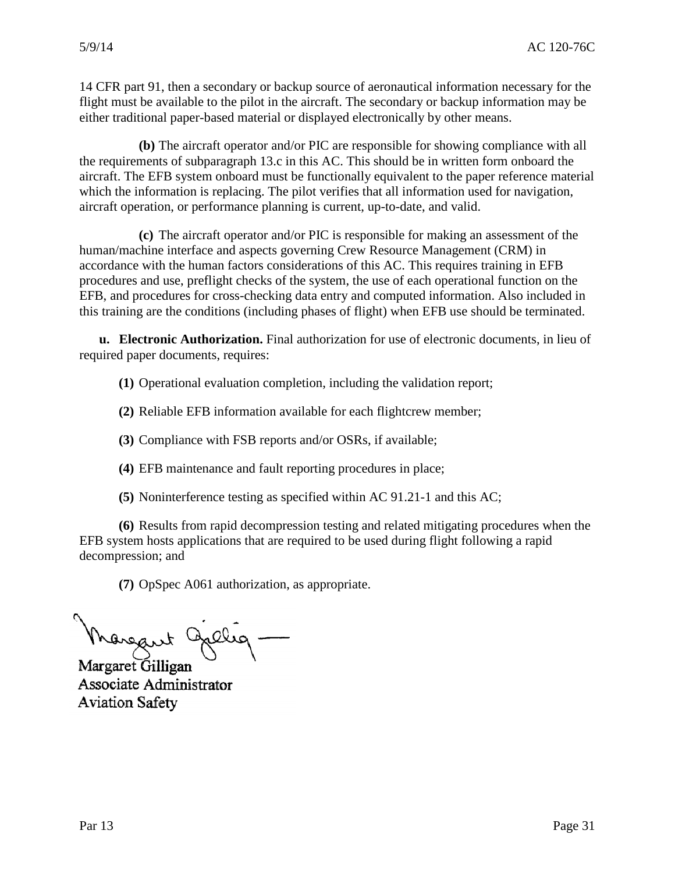14 CFR part 91, then a secondary or backup source of aeronautical information necessary for the flight must be available to the pilot in the aircraft. The secondary or backup information may be either traditional paper-based material or displayed electronically by other means.

 **(b)** The aircraft operator and/or PIC are responsible for showing compliance with all the requirements of subparagraph 13.c in this AC. This should be in written form onboard the aircraft. The EFB system onboard must be functionally equivalent to the paper reference material which the information is replacing. The pilot verifies that all information used for navigation, aircraft operation, or performance planning is current, up-to-date, and valid.

**(c)** The aircraft operator and/or PIC is responsible for making an assessment of the human/machine interface and aspects governing Crew Resource Management (CRM) in accordance with the human factors considerations of this AC. This requires training in EFB procedures and use, preflight checks of the system, the use of each operational function on the EFB, and procedures for cross-checking data entry and computed information. Also included in this training are the conditions (including phases of flight) when EFB use should be terminated.

**u. Electronic Authorization.** Final authorization for use of electronic documents, in lieu of required paper documents, requires:

**(1)** Operational evaluation completion, including the validation report;

**(2)** Reliable EFB information available for each flightcrew member;

**(3)** Compliance with FSB reports and/or OSRs, if available;

**(4)** EFB maintenance and fault reporting procedures in place;

**(5)** Noninterference testing as specified within AC 91.21-1 and this AC;

**(6)** Results from rapid decompression testing and related mitigating procedures when the EFB system hosts applications that are required to be used during flight following a rapid decompression; and

**(7)** OpSpec A061 authorization, as appropriate.

Margaret 9 allig Margaret Gilligan

Associate Administrator **Aviation Safety**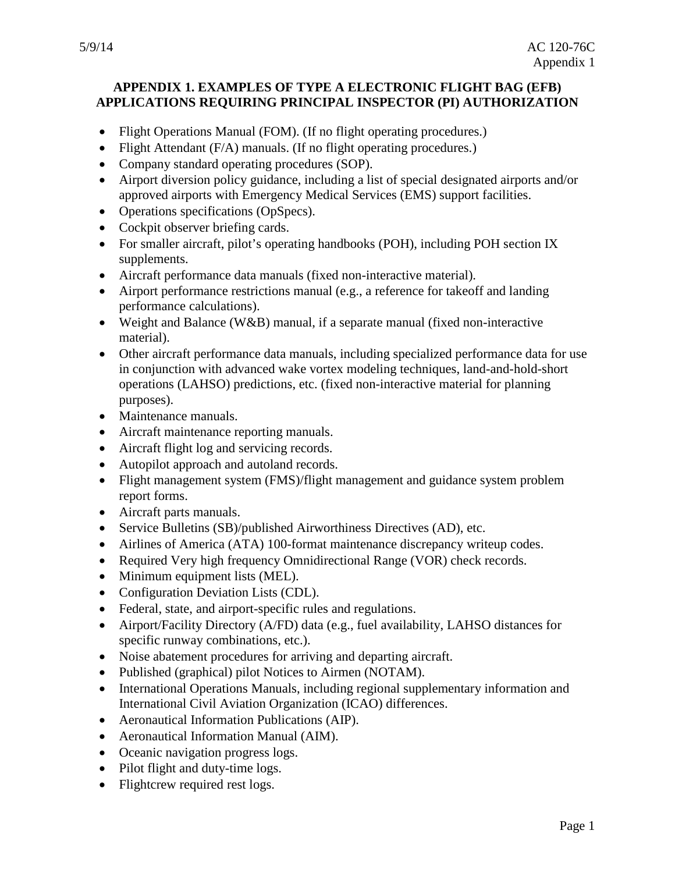#### **APPENDIX 1. EXAMPLES OF TYPE A ELECTRONIC FLIGHT BAG (EFB) APPLICATIONS REQUIRING PRINCIPAL INSPECTOR (PI) AUTHORIZATION**

- Flight Operations Manual (FOM). (If no flight operating procedures.)
- Flight Attendant (F/A) manuals. (If no flight operating procedures.)
- •Company standard operating procedures (SOP).
- •Airport diversion policy guidance, including a list of special designated airports and/or approved airports with Emergency Medical Services (EMS) support facilities.
- •Operations specifications (OpSpecs).
- •Cockpit observer briefing cards.
- •For smaller aircraft, pilot's operating handbooks (POH), including POH section IX supplements.
- •Aircraft performance data manuals (fixed non-interactive material).
- •Airport performance restrictions manual (e.g., a reference for takeoff and landing performance calculations).
- •Weight and Balance (W&B) manual, if a separate manual (fixed non-interactive material).
- •Other aircraft performance data manuals, including specialized performance data for use in conjunction with advanced wake vortex modeling techniques, land-and-hold-short operations (LAHSO) predictions, etc. (fixed non-interactive material for planning purposes).
- •Maintenance manuals.
- •Aircraft maintenance reporting manuals.
- •Aircraft flight log and servicing records.
- •Autopilot approach and autoland records.
- •Flight management system (FMS)/flight management and guidance system problem report forms.
- •Aircraft parts manuals.
- Service Bulletins (SB)/published Airworthiness Directives (AD), etc.
- •Airlines of America (ATA) 100-format maintenance discrepancy writeup codes.
- •Required Very high frequency Omnidirectional Range (VOR) check records.
- Minimum equipment lists (MEL).
- •Configuration Deviation Lists (CDL).
- •Federal, state, and airport-specific rules and regulations.
- •Airport/Facility Directory (A/FD) data (e.g., fuel availability, LAHSO distances for specific runway combinations, etc.).
- •Noise abatement procedures for arriving and departing aircraft.
- Published (graphical) pilot Notices to Airmen (NOTAM).
- •International Operations Manuals, including regional supplementary information and International Civil Aviation Organization (ICAO) differences.
- •Aeronautical Information Publications (AIP).
- •Aeronautical Information Manual (AIM).
- •Oceanic navigation progress logs.
- Pilot flight and duty-time logs.
- Flightcrew required rest logs.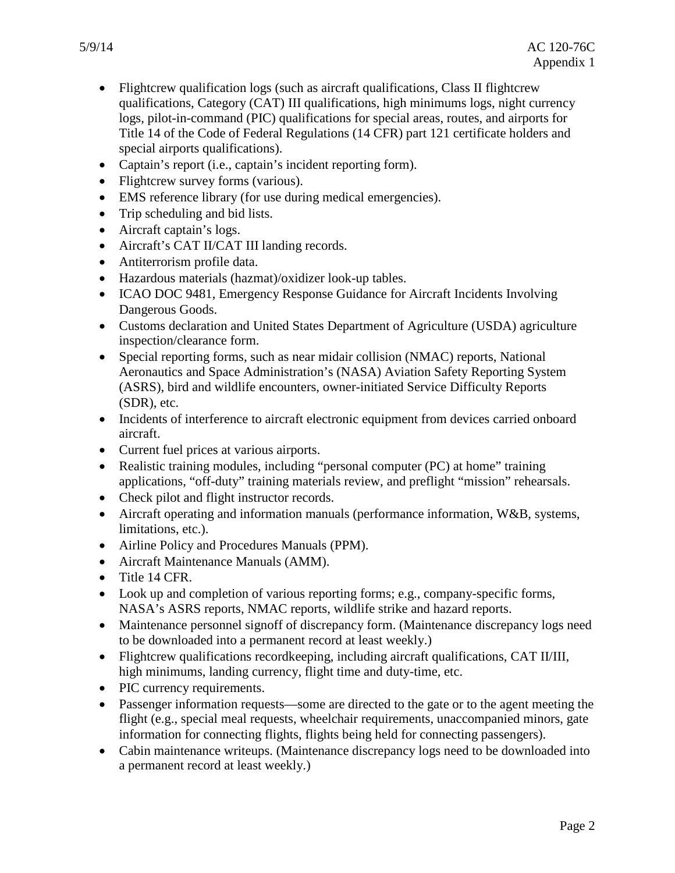- Title 14 of the Code of Federal Regulations (14 CFR) part 121 certificate holders and •Flightcrew qualification logs (such as aircraft qualifications, Class II flightcrew qualifications, Category (CAT) III qualifications, high minimums logs, night currency logs, pilot-in-command (PIC) qualifications for special areas, routes, and airports for special airports qualifications).
- •Captain's report (i.e., captain's incident reporting form).
- Flightcrew survey forms (various).
- •EMS reference library (for use during medical emergencies).
- Trip scheduling and bid lists.
- •Aircraft captain's logs.
- •Aircraft's CAT II/CAT III landing records.
- •Antiterrorism profile data.
- •Hazardous materials (hazmat)/oxidizer look-up tables.
- •ICAO DOC 9481, Emergency Response Guidance for Aircraft Incidents Involving Dangerous Goods.
- •Customs declaration and United States Department of Agriculture (USDA) agriculture inspection/clearance form.
- (SDR), etc. •Special reporting forms, such as near midair collision (NMAC) reports, National Aeronautics and Space Administration's (NASA) Aviation Safety Reporting System (ASRS), bird and wildlife encounters, owner-initiated Service Difficulty Reports
- •Incidents of interference to aircraft electronic equipment from devices carried onboard aircraft.
- •Current fuel prices at various airports.
- Realistic training modules, including "personal computer (PC) at home" training applications, "off-duty" training materials review, and preflight "mission" rehearsals.
- Check pilot and flight instructor records.
- •Aircraft operating and information manuals (performance information, W&B, systems, limitations, etc.).
- •Airline Policy and Procedures Manuals (PPM).
- •Aircraft Maintenance Manuals (AMM).
- Title 14 CFR.
- •Look up and completion of various reporting forms; e.g., company-specific forms, NASA's ASRS reports, NMAC reports, wildlife strike and hazard reports.
- •Maintenance personnel signoff of discrepancy form. (Maintenance discrepancy logs need to be downloaded into a permanent record at least weekly.)
- •Flightcrew qualifications recordkeeping, including aircraft qualifications, CAT II/III, high minimums, landing currency, flight time and duty-time, etc.
- PIC currency requirements.
- •Passenger information requests—some are directed to the gate or to the agent meeting the flight (e.g., special meal requests, wheelchair requirements, unaccompanied minors, gate information for connecting flights, flights being held for connecting passengers).
- •Cabin maintenance writeups. (Maintenance discrepancy logs need to be downloaded into a permanent record at least weekly.)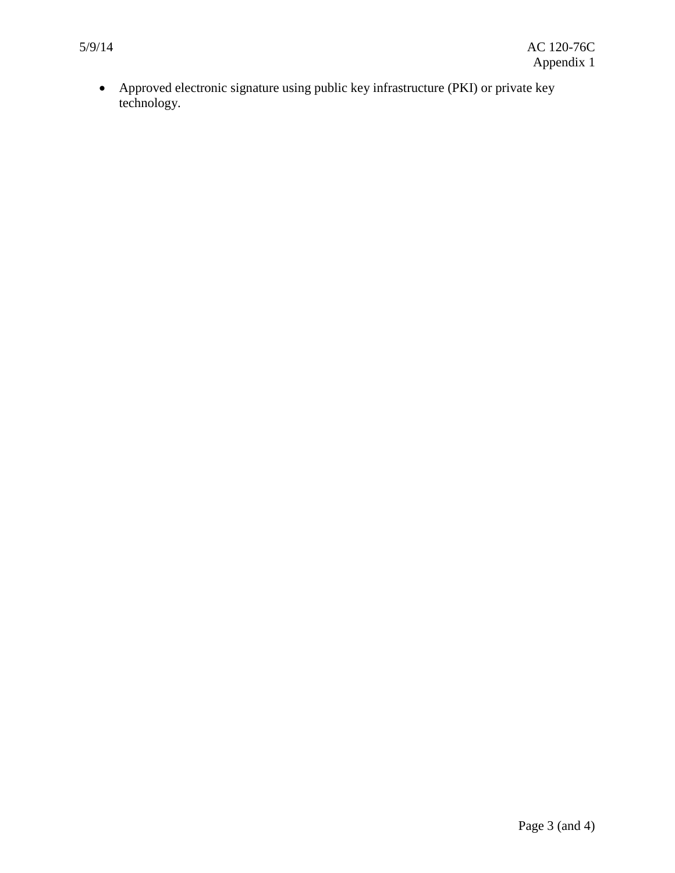•Approved electronic signature using public key infrastructure (PKI) or private key technology.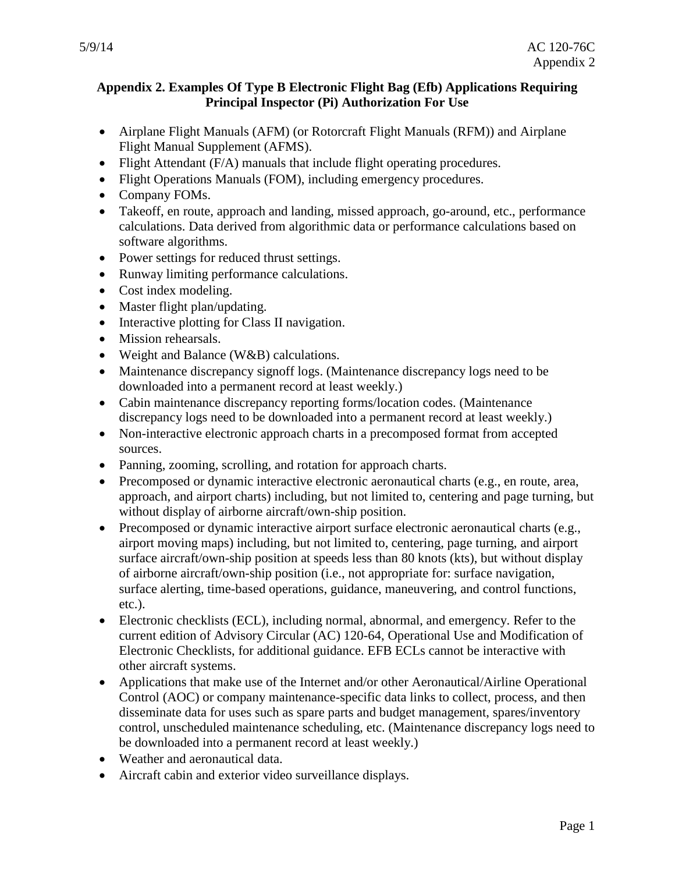#### **Principal Inspector (Pi) Authorization For Use Appendix 2. Examples Of Type B Electronic Flight Bag (Efb) Applications Requiring**

- •Airplane Flight Manuals (AFM) (or Rotorcraft Flight Manuals (RFM)) and Airplane Flight Manual Supplement (AFMS).
- Flight Attendant (F/A) manuals that include flight operating procedures.
- •Flight Operations Manuals (FOM), including emergency procedures.
- •Company FOMs.
- •Takeoff, en route, approach and landing, missed approach, go-around, etc., performance calculations. Data derived from algorithmic data or performance calculations based on software algorithms.
- Power settings for reduced thrust settings.
- •Runway limiting performance calculations.
- •Cost index modeling.
- Master flight plan/updating.
- Interactive plotting for Class II navigation.
- Mission rehearsals.
- Weight and Balance (W&B) calculations.
- •Maintenance discrepancy signoff logs. (Maintenance discrepancy logs need to be downloaded into a permanent record at least weekly.)
- •Cabin maintenance discrepancy reporting forms/location codes. (Maintenance discrepancy logs need to be downloaded into a permanent record at least weekly.)
- •Non-interactive electronic approach charts in a precomposed format from accepted sources.
- •Panning, zooming, scrolling, and rotation for approach charts.
- •Precomposed or dynamic interactive electronic aeronautical charts (e.g., en route, area, approach, and airport charts) including, but not limited to, centering and page turning, but without display of airborne aircraft/own-ship position.
- •Precomposed or dynamic interactive airport surface electronic aeronautical charts (e.g., airport moving maps) including, but not limited to, centering, page turning, and airport surface aircraft/own-ship position at speeds less than 80 knots (kts), but without display of airborne aircraft/own-ship position (i.e., not appropriate for: surface navigation, surface alerting, time-based operations, guidance, maneuvering, and control functions, etc.).
- •Electronic checklists (ECL), including normal, abnormal, and emergency. Refer to the current edition of Advisory Circular (AC) 120-64, Operational Use and Modification of Electronic Checklists, for additional guidance. EFB ECLs cannot be interactive with other aircraft systems.
- •Applications that make use of the Internet and/or other Aeronautical/Airline Operational Control (AOC) or company maintenance-specific data links to collect, process, and then disseminate data for uses such as spare parts and budget management, spares/inventory control, unscheduled maintenance scheduling, etc. (Maintenance discrepancy logs need to be downloaded into a permanent record at least weekly.)
- •Weather and aeronautical data.
- •Aircraft cabin and exterior video surveillance displays.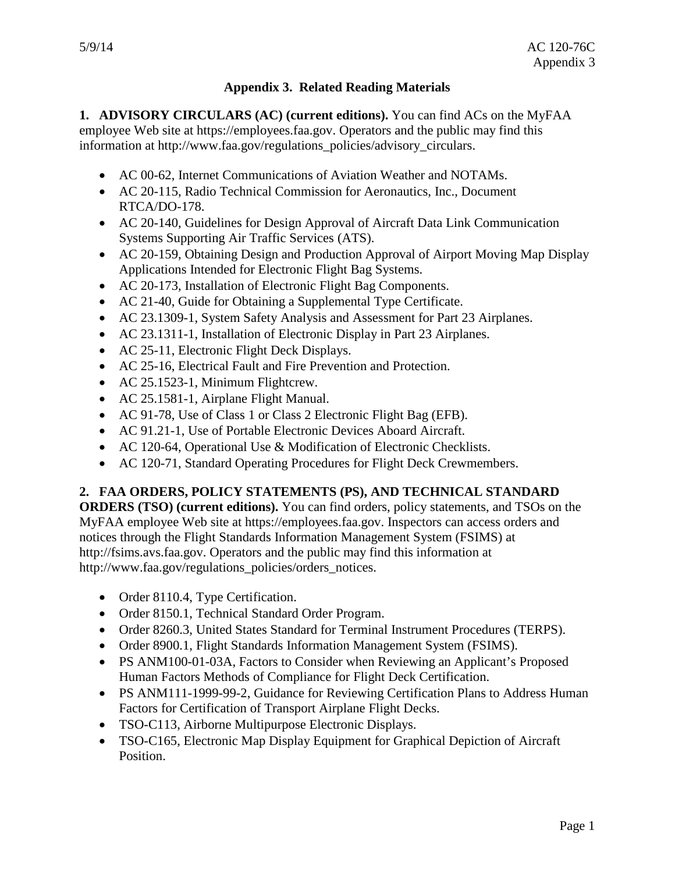# **Appendix 3. Related Reading Materials**

**1. ADVISORY CIRCULARS (AC) (current editions).** You can find ACs on the MyFAA employee Web site at https://employees.faa.gov. Operators and the public may find this information at http://www.faa.gov/regulations\_policies/advisory\_circulars.

- •AC 00-62, Internet Communications of Aviation Weather and NOTAMs.
- AC 20-115, Radio Technical Commission for Aeronautics, Inc., Document RTCA/DO-178. RTCA/DO-178.
- •AC 20-140, Guidelines for Design Approval of Aircraft Data Link Communication Systems Supporting Air Traffic Services (ATS).
- •AC 20-159, Obtaining Design and Production Approval of Airport Moving Map Display Applications Intended for Electronic Flight Bag Systems.
- •AC 20-173, Installation of Electronic Flight Bag Components.
- •AC 21-40, Guide for Obtaining a Supplemental Type Certificate.
- •AC 23.1309-1, System Safety Analysis and Assessment for Part 23 Airplanes.
- •AC 23.1311-1, Installation of Electronic Display in Part 23 Airplanes.
- AC 25-11, Electronic Flight Deck Displays.
- •AC 25-16, Electrical Fault and Fire Prevention and Protection.
- AC 25.1523-1, Minimum Flightcrew.
- •AC 25.1581-1, Airplane Flight Manual.
- AC 91-78, Use of Class 1 or Class 2 Electronic Flight Bag (EFB).
- •AC 91.21-1, Use of Portable Electronic Devices Aboard Aircraft.
- AC 120-64, Operational Use & Modification of Electronic Checklists.
- •AC 120-71, Standard Operating Procedures for Flight Deck Crewmembers.

#### **2. FAA ORDERS, POLICY STATEMENTS (PS), AND TECHNICAL STANDARD**

 MyFAA employee Web site at https://employees.faa.gov. Inspectors can access orders and notices through the Flight Standards Information Management System (FSIMS) at **ORDERS (TSO) (current editions).** You can find orders, policy statements, and TSOs on the http://fsims.avs.faa.gov. Operators and the public may find this information at http://www.faa.gov/regulations\_policies/orders\_notices.

- Order 8110.4, Type Certification.
- •Order 8150.1, Technical Standard Order Program.
- •Order 8260.3, United States Standard for Terminal Instrument Procedures (TERPS).
- •Order 8900.1, Flight Standards Information Management System (FSIMS).
- Human Factors Methods of Compliance for Flight Deck Certification. • PS ANM100-01-03A, Factors to Consider when Reviewing an Applicant's Proposed
- •PS ANM111-1999-99-2, Guidance for Reviewing Certification Plans to Address Human Factors for Certification of Transport Airplane Flight Decks.
- •TSO-C113, Airborne Multipurpose Electronic Displays.
- •TSO-C165, Electronic Map Display Equipment for Graphical Depiction of Aircraft Position.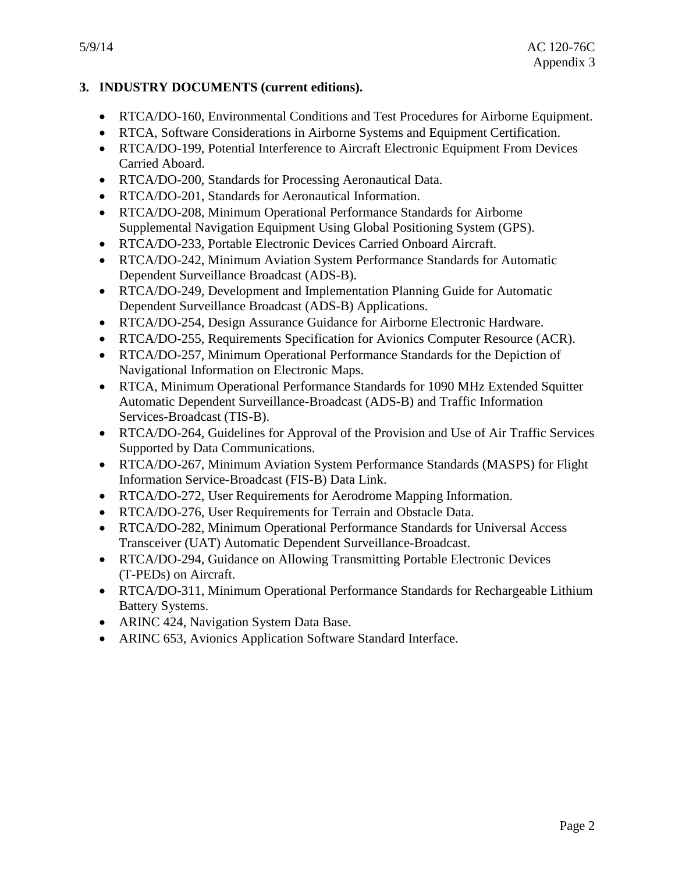# **3.INDUSTRY DOCUMENTS (current editions).**

- •RTCA/DO-160, Environmental Conditions and Test Procedures for Airborne Equipment.
- •RTCA, Software Considerations in Airborne Systems and Equipment Certification.
- •RTCA/DO-199, Potential Interference to Aircraft Electronic Equipment From Devices Carried Aboard.
- •RTCA/DO-200, Standards for Processing Aeronautical Data.
- •RTCA/DO-201, Standards for Aeronautical Information.
- •RTCA/DO-208, Minimum Operational Performance Standards for Airborne Supplemental Navigation Equipment Using Global Positioning System (GPS).
- •RTCA/DO-233, Portable Electronic Devices Carried Onboard Aircraft.
- •RTCA/DO-242, Minimum Aviation System Performance Standards for Automatic Dependent Surveillance Broadcast (ADS-B).
- •RTCA/DO-249, Development and Implementation Planning Guide for Automatic Dependent Surveillance Broadcast (ADS-B) Applications.
- •RTCA/DO-254, Design Assurance Guidance for Airborne Electronic Hardware.
- •RTCA/DO-255, Requirements Specification for Avionics Computer Resource (ACR).
- •RTCA/DO-257, Minimum Operational Performance Standards for the Depiction of Navigational Information on Electronic Maps.
- •RTCA, Minimum Operational Performance Standards for 1090 MHz Extended Squitter Automatic Dependent Surveillance-Broadcast (ADS-B) and Traffic Information Services-Broadcast (TIS-B).
- •RTCA/DO-264, Guidelines for Approval of the Provision and Use of Air Traffic Services Supported by Data Communications.
- •RTCA/DO-267, Minimum Aviation System Performance Standards (MASPS) for Flight Information Service-Broadcast (FIS-B) Data Link.
- •RTCA/DO-272, User Requirements for Aerodrome Mapping Information.
- •RTCA/DO-276, User Requirements for Terrain and Obstacle Data.
- •RTCA/DO-282, Minimum Operational Performance Standards for Universal Access Transceiver (UAT) Automatic Dependent Surveillance-Broadcast.
- •RTCA/DO-294, Guidance on Allowing Transmitting Portable Electronic Devices (T-PEDs) on Aircraft.
- •RTCA/DO-311, Minimum Operational Performance Standards for Rechargeable Lithium Battery Systems.
- •ARINC 424, Navigation System Data Base.
- •ARINC 653, Avionics Application Software Standard Interface.